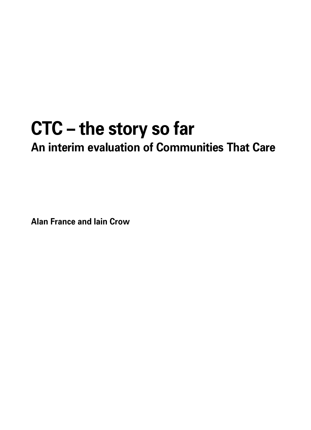# **CTC – the story so far An interim evaluation of Communities That Care**

**Alan France and Iain Crow**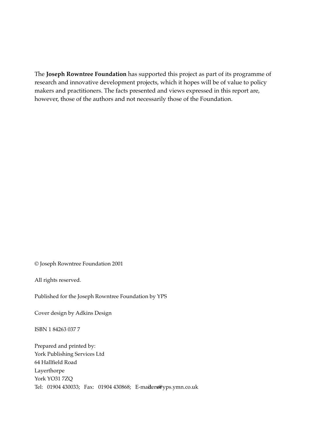The **Joseph Rowntree Foundation** has supported this project as part of its programme of research and innovative development projects, which it hopes will be of value to policy makers and practitioners. The facts presented and views expressed in this report are, however, those of the authors and not necessarily those of the Foundation.

© Joseph Rowntree Foundation 2001

All rights reserved.

Published for the Joseph Rowntree Foundation by YPS

Cover design by Adkins Design

ISBN 1 84263 037 7

Prepared and printed by: York Publishing Services Ltd 64 Hallfield Road Layerthorpe York YO31 7ZQ Tel: 01904 430033; Fax: 01904 430868; E-maiders@yps.ymn.co.uk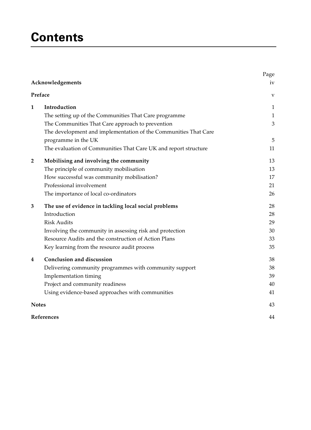## **Contents**

|            |                                                                 | Page<br>iv   |
|------------|-----------------------------------------------------------------|--------------|
|            | Acknowledgements                                                |              |
|            | Preface                                                         | V            |
| 1          | Introduction                                                    | 1            |
|            | The setting up of the Communities That Care programme           | $\mathbf{1}$ |
|            | The Communities That Care approach to prevention                | 3            |
|            | The development and implementation of the Communities That Care |              |
|            | programme in the UK                                             | 5            |
|            | The evaluation of Communities That Care UK and report structure | 11           |
| 2          | Mobilising and involving the community                          | 13           |
|            | The principle of community mobilisation                         | 13           |
|            | How successful was community mobilisation?                      | 17           |
|            | Professional involvement                                        | 21           |
|            | The importance of local co-ordinators                           | 26           |
| 3          | The use of evidence in tackling local social problems           | 28           |
|            | Introduction                                                    | 28           |
|            | <b>Risk Audits</b>                                              | 29           |
|            | Involving the community in assessing risk and protection        | 30           |
|            | Resource Audits and the construction of Action Plans            | 33           |
|            | Key learning from the resource audit process                    | 35           |
| 4          | Conclusion and discussion                                       | 38           |
|            | Delivering community programmes with community support          | 38           |
|            | Implementation timing                                           | 39           |
|            | Project and community readiness                                 | 40           |
|            | Using evidence-based approaches with communities                | 41           |
|            | <b>Notes</b>                                                    | 43           |
| References | 44                                                              |              |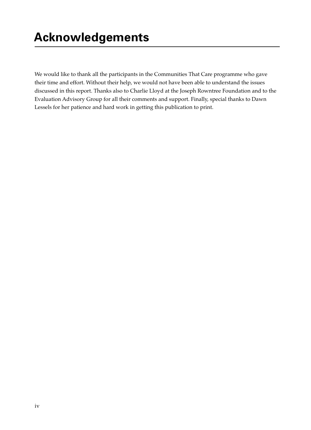We would like to thank all the participants in the Communities That Care programme who gave their time and effort. Without their help, we would not have been able to understand the issues discussed in this report. Thanks also to Charlie Lloyd at the Joseph Rowntree Foundation and to the Evaluation Advisory Group for all their comments and support. Finally, special thanks to Dawn Lessels for her patience and hard work in getting this publication to print.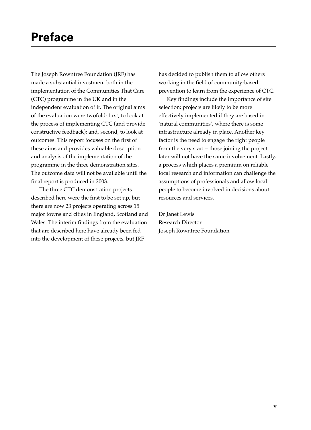The Joseph Rowntree Foundation (JRF) has made a substantial investment both in the implementation of the Communities That Care (CTC) programme in the UK and in the independent evaluation of it. The original aims of the evaluation were twofold: first, to look at the process of implementing CTC (and provide constructive feedback); and, second, to look at outcomes. This report focuses on the first of these aims and provides valuable description and analysis of the implementation of the programme in the three demonstration sites. The outcome data will not be available until the final report is produced in 2003.

The three CTC demonstration projects described here were the first to be set up, but there are now 23 projects operating across 15 major towns and cities in England, Scotland and Wales. The interim findings from the evaluation that are described here have already been fed into the development of these projects, but JRF

has decided to publish them to allow others working in the field of community-based prevention to learn from the experience of CTC.

Key findings include the importance of site selection: projects are likely to be more effectively implemented if they are based in 'natural communities', where there is some infrastructure already in place. Another key factor is the need to engage the right people from the very start – those joining the project later will not have the same involvement. Lastly, a process which places a premium on reliable local research and information can challenge the assumptions of professionals and allow local people to become involved in decisions about resources and services.

Dr Janet Lewis Research Director Joseph Rowntree Foundation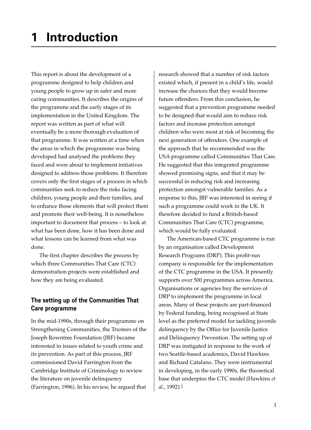This report is about the development of a programme designed to help children and young people to grow up in safer and more caring communities. It describes the origins of the programme and the early stages of its implementation in the United Kingdom. The report was written as part of what will eventually be a more thorough evaluation of that programme. It was written at a time when the areas in which the programme was being developed had analysed the problems they faced and were about to implement initiatives designed to address those problems. It therefore covers only the first stages of a process in which communities seek to reduce the risks facing children, young people and their families, and to enhance those elements that will protect them and promote their well-being. It is nonetheless important to document that process – to look at what has been done, how it has been done and what lessons can be learned from what was done.

The first chapter describes the process by which three Communities That Care (CTC) demonstration projects were established and how they are being evaluated.

## **The setting up of the Communities That Care programme**

In the mid-1990s, through their programme on Strengthening Communities, the Trustees of the Joseph Rowntree Foundation (JRF) became interested in issues related to youth crime and its prevention. As part of this process, JRF commissioned David Farrington from the Cambridge Institute of Criminology to review the literature on juvenile delinquency (Farrington, 1996). In his review, he argued that

research showed that a number of risk factors existed which, if present in a child's life, would increase the chances that they would become future offenders. From this conclusion, he suggested that a prevention programme needed to be designed that would aim to reduce risk factors and increase protection amongst children who were most at risk of becoming the next generation of offenders. One example of the approach that he recommended was the USA programme called Communities That Care. He suggested that this integrated programme showed promising signs, and that it may be successful in reducing risk and increasing protection amongst vulnerable families. As a response to this, JRF was interested in seeing if such a programme could work in the UK. It therefore decided to fund a British-based Communities That Care (CTC) programme, which would be fully evaluated.

The American-based CTC programme is run by an organisation called Development Research Programs (DRP). This profit-run company is responsible for the implementation of the CTC programme in the USA. It presently supports over 500 programmes across America. Organisations or agencies buy the services of DRP to implement the programme in local areas. Many of these projects are part-financed by Federal funding, being recognised at State level as the preferred model for tackling juvenile delinquency by the Office for Juvenile Justice and Delinquency Prevention. The setting up of DRP was instigated in response to the work of two Seattle-based academics, David Hawkins and Richard Catalano. They were instrumental in developing, in the early 1990s, the theoretical base that underpins the CTC model (Hawkins *et al*., 1992).1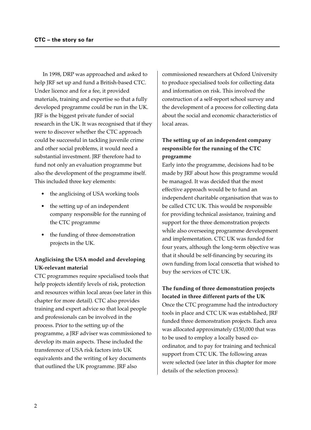In 1998, DRP was approached and asked to help JRF set up and fund a British-based CTC. Under licence and for a fee, it provided materials, training and expertise so that a fully developed programme could be run in the UK. JRF is the biggest private funder of social research in the UK. It was recognised that if they were to discover whether the CTC approach could be successful in tackling juvenile crime and other social problems, it would need a substantial investment. JRF therefore had to fund not only an evaluation programme but also the development of the programme itself. This included three key elements:

- the anglicising of USA working tools
- the setting up of an independent company responsible for the running of the CTC programme
- the funding of three demonstration projects in the UK.

## **Anglicising the USA model and developing UK-relevant material**

CTC programmes require specialised tools that help projects identify levels of risk, protection and resources within local areas (see later in this chapter for more detail). CTC also provides training and expert advice so that local people and professionals can be involved in the process. Prior to the setting up of the programme, a JRF adviser was commissioned to develop its main aspects. These included the transference of USA risk factors into UK equivalents and the writing of key documents that outlined the UK programme. JRF also

commissioned researchers at Oxford University to produce specialised tools for collecting data and information on risk. This involved the construction of a self-report school survey and the development of a process for collecting data about the social and economic characteristics of local areas.

## **The setting up of an independent company responsible for the running of the CTC programme**

Early into the programme, decisions had to be made by JRF about how this programme would be managed. It was decided that the most effective approach would be to fund an independent charitable organisation that was to be called CTC UK. This would be responsible for providing technical assistance, training and support for the three demonstration projects while also overseeing programme development and implementation. CTC UK was funded for four years, although the long-term objective was that it should be self-financing by securing its own funding from local consortia that wished to buy the services of CTC UK.

**The funding of three demonstration projects located in three different parts of the UK** Once the CTC programme had the introductory tools in place and CTC UK was established, JRF funded three demonstration projects. Each area was allocated approximately £150,000 that was to be used to employ a locally based coordinator, and to pay for training and technical support from CTC UK. The following areas were selected (see later in this chapter for more details of the selection process):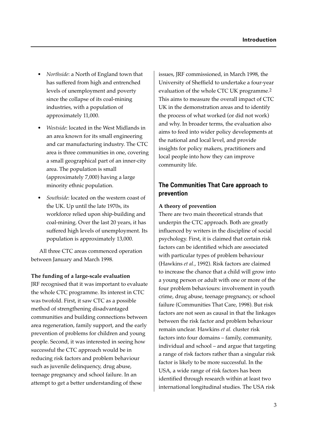- *Northside*: a North of England town that has suffered from high and entrenched levels of unemployment and poverty since the collapse of its coal-mining industries, with a population of approximately 11,000.
- *Westside*: located in the West Midlands in an area known for its small engineering and car manufacturing industry. The CTC area is three communities in one, covering a small geographical part of an inner-city area. The population is small (approximately 7,000) having a large minority ethnic population.
- *Southside*: located on the western coast of the UK. Up until the late 1970s, its workforce relied upon ship-building and coal-mining. Over the last 20 years, it has suffered high levels of unemployment. Its population is approximately 13,000.

All three CTC areas commenced operation between January and March 1998.

#### **The funding of a large-scale evaluation**

JRF recognised that it was important to evaluate the whole CTC programme. Its interest in CTC was twofold. First, it saw CTC as a possible method of strengthening disadvantaged communities and building connections between area regeneration, family support, and the early prevention of problems for children and young people. Second, it was interested in seeing how successful the CTC approach would be in reducing risk factors and problem behaviour such as juvenile delinquency, drug abuse, teenage pregnancy and school failure. In an attempt to get a better understanding of these

issues, JRF commissioned, in March 1998, the University of Sheffield to undertake a four-year evaluation of the whole CTC UK programme.2 This aims to measure the overall impact of CTC UK in the demonstration areas and to identify the process of what worked (or did not work) and why. In broader terms, the evaluation also aims to feed into wider policy developments at the national and local level, and provide insights for policy makers, practitioners and local people into how they can improve community life.

## **The Communities That Care approach to prevention**

#### **A theory of prevention**

There are two main theoretical strands that underpin the CTC approach. Both are greatly influenced by writers in the discipline of social psychology. First, it is claimed that certain risk factors can be identified which are associated with particular types of problem behaviour (Hawkins *et al.*, 1992). Risk factors are claimed to increase the chance that a child will grow into a young person or adult with one or more of the four problem behaviours: involvement in youth crime, drug abuse, teenage pregnancy, or school failure (Communities That Care, 1998). But risk factors are not seen as causal in that the linkages between the risk factor and problem behaviour remain unclear. Hawkins *et al.* cluster risk factors into four domains – family, community, individual and school – and argue that targeting a range of risk factors rather than a singular risk factor is likely to be more successful. In the USA, a wide range of risk factors has been identified through research within at least two international longitudinal studies. The USA risk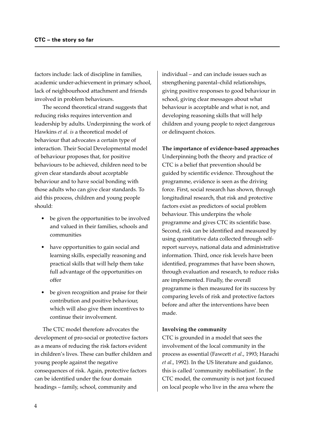factors include: lack of discipline in families, academic under-achievement in primary school, lack of neighbourhood attachment and friends involved in problem behaviours.

The second theoretical strand suggests that reducing risks requires intervention and leadership by adults. Underpinning the work of Hawkins *et al. is* a theoretical model of behaviour that advocates a certain type of interaction. Their Social Developmental model of behaviour proposes that, for positive behaviours to be achieved, children need to be given clear standards about acceptable behaviour and to have social bonding with those adults who can give clear standards. To aid this process, children and young people should:

- be given the opportunities to be involved and valued in their families, schools and communities
- have opportunities to gain social and learning skills, especially reasoning and practical skills that will help them take full advantage of the opportunities on offer
- be given recognition and praise for their contribution and positive behaviour, which will also give them incentives to continue their involvement.

The CTC model therefore advocates the development of pro-social or protective factors as a means of reducing the risk factors evident in children's lives. These can buffer children and young people against the negative consequences of risk. Again, protective factors can be identified under the four domain headings – family, school, community and

individual – and can include issues such as strengthening parental–child relationships, giving positive responses to good behaviour in school, giving clear messages about what behaviour is acceptable and what is not, and developing reasoning skills that will help children and young people to reject dangerous or delinquent choices.

**The importance of evidence-based approaches** Underpinning both the theory and practice of CTC is a belief that prevention should be guided by scientific evidence. Throughout the programme, evidence is seen as the driving force. First, social research has shown, through longitudinal research, that risk and protective factors exist as predictors of social problem behaviour. This underpins the whole programme and gives CTC its scientific base. Second, risk can be identified and measured by using quantitative data collected through selfreport surveys, national data and administrative information. Third, once risk levels have been identified, programmes that have been shown, through evaluation and research, to reduce risks are implemented. Finally, the overall programme is then measured for its success by comparing levels of risk and protective factors before and after the interventions have been made.

#### **Involving the community**

CTC is grounded in a model that sees the involvement of the local community in the process as essential (Fawcett *et al*., 1993; Harachi *et al*., 1992). In the US literature and guidance, this is called 'community mobilisation'. In the CTC model, the community is not just focused on local people who live in the area where the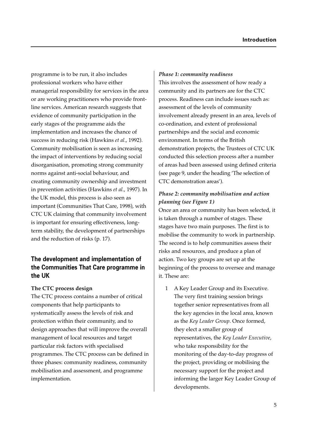programme is to be run, it also includes professional workers who have either managerial responsibility for services in the area or are working practitioners who provide frontline services. American research suggests that evidence of community participation in the early stages of the programme aids the implementation and increases the chance of success in reducing risk (Hawkins *et al*., 1992). Community mobilisation is seen as increasing the impact of interventions by reducing social disorganisation, promoting strong community norms against anti-social behaviour, and creating community ownership and investment in prevention activities (Hawkins *et al.*, 1997). In the UK model, this process is also seen as important (Communities That Care, 1998), with CTC UK claiming that community involvement is important for ensuring effectiveness, longterm stability, the development of partnerships and the reduction of risks (p. 17).

## **The development and implementation of the Communities That Care programme in the UK**

#### **The CTC process design**

The CTC process contains a number of critical components that help participants to systematically assess the levels of risk and protection within their community, and to design approaches that will improve the overall management of local resources and target particular risk factors with specialised programmes. The CTC process can be defined in three phases: community readiness, community mobilisation and assessment, and programme implementation.

#### *Phase 1: community readiness*

This involves the assessment of how ready a community and its partners are for the CTC process. Readiness can include issues such as: assessment of the levels of community involvement already present in an area, levels of co-ordination, and extent of professional partnerships and the social and economic environment. In terms of the British demonstration projects, the Trustees of CTC UK conducted this selection process after a number of areas had been assessed using defined criteria (see page 9, under the heading 'The selection of CTC demonstration areas').

## *Phase 2: community mobilisation and action planning (see Figure 1)*

Once an area or community has been selected, it is taken through a number of stages. These stages have two main purposes. The first is to mobilise the community to work in partnership. The second is to help communities assess their risks and resources, and produce a plan of action. Two key groups are set up at the beginning of the process to oversee and manage it. These are:

1 A Key Leader Group and its Executive. The very first training session brings together senior representatives from all the key agencies in the local area, known as the *Key Leader Group*. Once formed, they elect a smaller group of representatives, the *Key Leader Executive*, who take responsibility for the monitoring of the day-to-day progress of the project, providing or mobilising the necessary support for the project and informing the larger Key Leader Group of developments.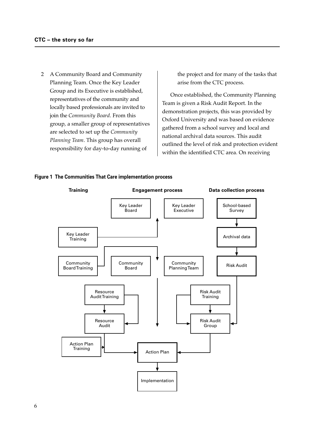2 A Community Board and Community Planning Team. Once the Key Leader Group and its Executive is established, representatives of the community and locally based professionals are invited to join the *Community Board*. From this group, a smaller group of representatives are selected to set up the *Community Planning Team*. This group has overall responsibility for day-to-day running of

the project and for many of the tasks that arise from the CTC process.

Once established, the Community Planning Team is given a Risk Audit Report. In the demonstration projects, this was provided by Oxford University and was based on evidence gathered from a school survey and local and national archival data sources. This audit outlined the level of risk and protection evident within the identified CTC area. On receiving



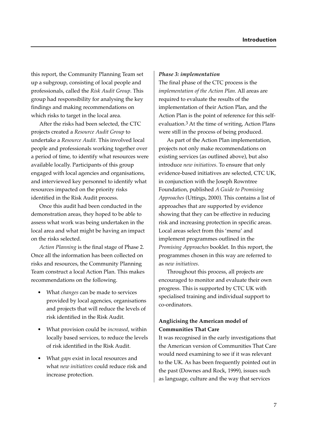this report, the Community Planning Team set up a subgroup, consisting of local people and professionals, called the *Risk Audit Group*. This group had responsibility for analysing the key findings and making recommendations on which risks to target in the local area.

After the risks had been selected, the CTC projects created a *Resource Audit Group* to undertake a *Resource Audit.* This involved local people and professionals working together over a period of time, to identify what resources were available locally. Participants of this group engaged with local agencies and organisations, and interviewed key personnel to identify what resources impacted on the priority risks identified in the Risk Audit process.

Once this audit had been conducted in the demonstration areas, they hoped to be able to assess what work was being undertaken in the local area and what might be having an impact on the risks selected.

*Action Planning* is the final stage of Phase 2. Once all the information has been collected on risks and resources, the Community Planning Team construct a local Action Plan. This makes recommendations on the following.

- What *changes* can be made to services provided by local agencies, organisations and projects that will reduce the levels of risk identified in the Risk Audit.
- What provision could be *increased*, within locally based services, to reduce the levels of risk identified in the Risk Audit.
- What *gaps* exist in local resources and what *new initiatives* could reduce risk and increase protection.

#### *Phase 3: implementation*

The final phase of the CTC process is the *implementation of the Action Plan*. All areas are required to evaluate the results of the implementation of their Action Plan, and the Action Plan is the point of reference for this selfevaluation.3 At the time of writing, Action Plans were still in the process of being produced.

As part of the Action Plan implementation, projects not only make recommendations on existing services (as outlined above), but also introduce *new initiatives*. To ensure that only evidence-based initiatives are selected, CTC UK, in conjunction with the Joseph Rowntree Foundation, published *A Guide to Promising Approaches* (Uttings, 2000). This contains a list of approaches that are supported by evidence showing that they can be effective in reducing risk and increasing protection in specific areas. Local areas select from this 'menu' and implement programmes outlined in the *Promising Approaches* booklet. In this report, the programmes chosen in this way are referred to as *new initiatives*.

Throughout this process, all projects are encouraged to monitor and evaluate their own progress. This is supported by CTC UK with specialised training and individual support to co-ordinators.

## **Anglicising the American model of Communities That Care**

It was recognised in the early investigations that the American version of Communities That Care would need examining to see if it was relevant to the UK. As has been frequently pointed out in the past (Downes and Rock, 1999), issues such as language, culture and the way that services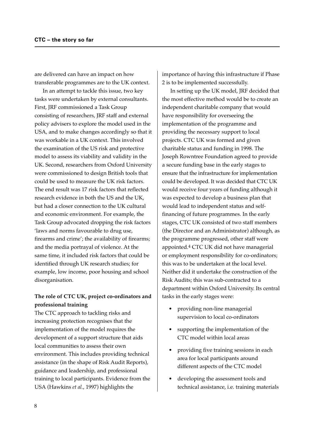are delivered can have an impact on how transferable programmes are to the UK context.

In an attempt to tackle this issue, two key tasks were undertaken by external consultants. First, JRF commissioned a Task Group consisting of researchers, JRF staff and external policy advisers to explore the model used in the USA, and to make changes accordingly so that it was workable in a UK context. This involved the examination of the US risk and protective model to assess its viability and validity in the UK. Second, researchers from Oxford University were commissioned to design British tools that could be used to measure the UK risk factors. The end result was 17 risk factors that reflected research evidence in both the US and the UK, but had a closer connection to the UK cultural and economic environment. For example, the Task Group advocated dropping the risk factors 'laws and norms favourable to drug use, firearms and crime'; the availability of firearms; and the media portrayal of violence. At the same time, it included risk factors that could be identified through UK research studies; for example, low income, poor housing and school disorganisation.

## **The role of CTC UK, project co-ordinators and professional training**

The CTC approach to tackling risks and increasing protection recognises that the implementation of the model requires the development of a support structure that aids local communities to assess their own environment. This includes providing technical assistance (in the shape of Risk Audit Reports), guidance and leadership, and professional training to local participants. Evidence from the USA (Hawkins *et al.*, 1997) highlights the

importance of having this infrastructure if Phase 2 is to be implemented successfully.

In setting up the UK model, JRF decided that the most effective method would be to create an independent charitable company that would have responsibility for overseeing the implementation of the programme and providing the necessary support to local projects. CTC UK was formed and given charitable status and funding in 1998. The Joseph Rowntree Foundation agreed to provide a secure funding base in the early stages to ensure that the infrastructure for implementation could be developed. It was decided that CTC UK would receive four years of funding although it was expected to develop a business plan that would lead to independent status and selffinancing of future programmes. In the early stages, CTC UK consisted of two staff members (the Director and an Administrator) although, as the programme progressed, other staff were appointed.4 CTC UK did not have managerial or employment responsibility for co-ordinators; this was to be undertaken at the local level. Neither did it undertake the construction of the Risk Audits; this was sub-contracted to a department within Oxford University. Its central tasks in the early stages were:

- providing non-line managerial supervision to local co-ordinators
- supporting the implementation of the CTC model within local areas
- providing five training sessions in each area for local participants around different aspects of the CTC model
- developing the assessment tools and technical assistance, i.e. training materials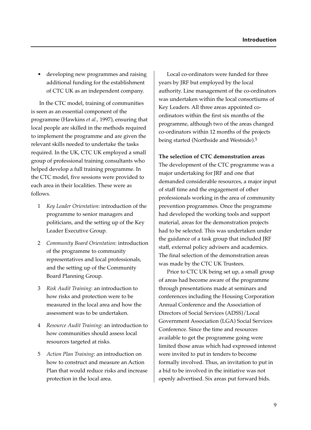• developing new programmes and raising additional funding for the establishment of CTC UK as an independent company.

In the CTC model, training of communities is seen as an essential component of the programme (Hawkins *et al.*, 1997), ensuring that local people are skilled in the methods required to implement the programme and are given the relevant skills needed to undertake the tasks required. In the UK, CTC UK employed a small group of professional training consultants who helped develop a full training programme. In the CTC model, five sessions were provided to each area in their localities. These were as follows.

- 1 *Key Leader Orientation*: introduction of the programme to senior managers and politicians, and the setting up of the Key Leader Executive Group.
- 2 *Community Board Orientation*: introduction of the programme to community representatives and local professionals, and the setting up of the Community Board Planning Group.
- 3 *Risk Audit Training*: an introduction to how risks and protection were to be measured in the local area and how the assessment was to be undertaken.
- 4 *Resource Audit Training*: an introduction to how communities should assess local resources targeted at risks.
- 5 *Action Plan Training*: an introduction on how to construct and measure an Action Plan that would reduce risks and increase protection in the local area.

Local co-ordinators were funded for three years by JRF but employed by the local authority. Line management of the co-ordinators was undertaken within the local consortiums of Key Leaders. All three areas appointed coordinators within the first six months of the programme, although two of the areas changed co-ordinators within 12 months of the projects being started (Northside and Westside).5

#### **The selection of CTC demonstration areas**

The development of the CTC programme was a major undertaking for JRF and one that demanded considerable resources, a major input of staff time and the engagement of other professionals working in the area of community prevention programmes. Once the programme had developed the working tools and support material, areas for the demonstration projects had to be selected. This was undertaken under the guidance of a task group that included JRF staff, external policy advisers and academics. The final selection of the demonstration areas was made by the CTC UK Trustees.

Prior to CTC UK being set up, a small group of areas had become aware of the programme through presentations made at seminars and conferences including the Housing Corporation Annual Conference and the Association of Directors of Social Services (ADSS)/Local Government Association (LGA) Social Services Conference. Since the time and resources available to get the programme going were limited those areas which had expressed interest were invited to put in tenders to become formally involved. Thus, an invitation to put in a bid to be involved in the initiative was not openly advertised. Six areas put forward bids.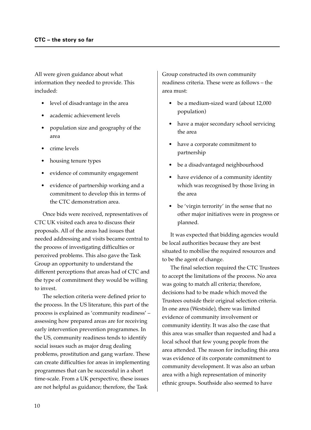All were given guidance about what information they needed to provide. This included:

- level of disadvantage in the area
- academic achievement levels
- population size and geography of the area
- crime levels
- housing tenure types
- evidence of community engagement
- evidence of partnership working and a commitment to develop this in terms of the CTC demonstration area.

Once bids were received, representatives of CTC UK visited each area to discuss their proposals. All of the areas had issues that needed addressing and visits became central to the process of investigating difficulties or perceived problems. This also gave the Task Group an opportunity to understand the different perceptions that areas had of CTC and the type of commitment they would be willing to invest.

The selection criteria were defined prior to the process. In the US literature, this part of the process is explained as 'community readiness' – assessing how prepared areas are for receiving early intervention prevention programmes. In the US, community readiness tends to identify social issues such as major drug dealing problems, prostitution and gang warfare. These can create difficulties for areas in implementing programmes that can be successful in a short time-scale. From a UK perspective, these issues are not helpful as guidance; therefore, the Task

Group constructed its own community readiness criteria. These were as follows – the area must:

- be a medium-sized ward (about 12,000 population)
- have a major secondary school servicing the area
- have a corporate commitment to partnership
- be a disadvantaged neighbourhood
- have evidence of a community identity which was recognised by those living in the area
- be 'virgin terrority' in the sense that no other major initiatives were in progress or planned.

It was expected that bidding agencies would be local authorities because they are best situated to mobilise the required resources and to be the agent of change.

The final selection required the CTC Trustees to accept the limitations of the process. No area was going to match all criteria; therefore, decisions had to be made which moved the Trustees outside their original selection criteria. In one area (Westside), there was limited evidence of community involvement or community identity. It was also the case that this area was smaller than requested and had a local school that few young people from the area attended. The reason for including this area was evidence of its corporate commitment to community development. It was also an urban area with a high representation of minority ethnic groups. Southside also seemed to have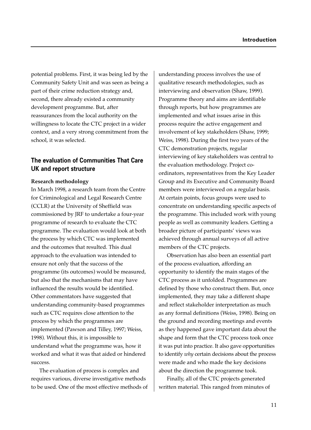potential problems. First, it was being led by the Community Safety Unit and was seen as being a part of their crime reduction strategy and, second, there already existed a community development programme. But, after reassurances from the local authority on the willingness to locate the CTC project in a wider context, and a very strong commitment from the school, it was selected.

## **The evaluation of Communities That Care UK and report structure**

#### **Research methodology**

In March 1998, a research team from the Centre for Criminological and Legal Research Centre (CCLR) at the University of Sheffield was commissioned by JRF to undertake a four-year programme of research to evaluate the CTC programme. The evaluation would look at both the process by which CTC was implemented and the outcomes that resulted. This dual approach to the evaluation was intended to ensure not only that the success of the programme (its outcomes) would be measured, but also that the mechanisms that may have influenced the results would be identified. Other commentators have suggested that understanding community-based programmes such as CTC requires close attention to the process by which the programmes are implemented (Pawson and Tilley, 1997; Weiss, 1998). Without this, it is impossible to understand what the programme was, how it worked and what it was that aided or hindered success.

The evaluation of process is complex and requires various, diverse investigative methods to be used. One of the most effective methods of understanding process involves the use of qualitative research methodologies, such as interviewing and observation (Shaw, 1999). Programme theory and aims are identifiable through reports, but how programmes are implemented and what issues arise in this process require the active engagement and involvement of key stakeholders (Shaw, 1999; Weiss, 1998). During the first two years of the CTC demonstration projects, regular interviewing of key stakeholders was central to the evaluation methodology. Project coordinators, representatives from the Key Leader Group and its Executive and Community Board members were interviewed on a regular basis. At certain points, focus groups were used to concentrate on understanding specific aspects of the programme. This included work with young people as well as community leaders. Getting a broader picture of participants' views was achieved through annual surveys of all active members of the CTC projects.

Observation has also been an essential part of the process evaluation, affording an opportunity to identify the main stages of the CTC process as it unfolded. Programmes are defined by those who construct them. But, once implemented, they may take a different shape and reflect stakeholder interpretation as much as any formal definitions (Weiss, 1998). Being on the ground and recording meetings and events as they happened gave important data about the shape and form that the CTC process took once it was put into practice. It also gave opportunities to identify *why* certain decisions about the process were made and who made the key decisions about the direction the programme took.

Finally, all of the CTC projects generated written material. This ranged from minutes of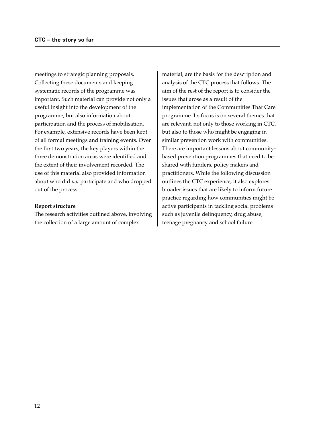meetings to strategic planning proposals. Collecting these documents and keeping systematic records of the programme was important. Such material can provide not only a useful insight into the development of the programme, but also information about participation and the process of mobilisation. For example, extensive records have been kept of all formal meetings and training events. Over the first two years, the key players within the three demonstration areas were identified and the extent of their involvement recorded. The use of this material also provided information about who did *not* participate and who dropped out of the process.

#### **Report structure**

The research activities outlined above, involving the collection of a large amount of complex

material, are the basis for the description and analysis of the CTC process that follows. The aim of the rest of the report is to consider the issues that arose as a result of the implementation of the Communities That Care programme. Its focus is on several themes that are relevant, not only to those working in CTC, but also to those who might be engaging in similar prevention work with communities. There are important lessons about communitybased prevention programmes that need to be shared with funders, policy makers and practitioners. While the following discussion outlines the CTC experience, it also explores broader issues that are likely to inform future practice regarding how communities might be active participants in tackling social problems such as juvenile delinquency, drug abuse, teenage pregnancy and school failure.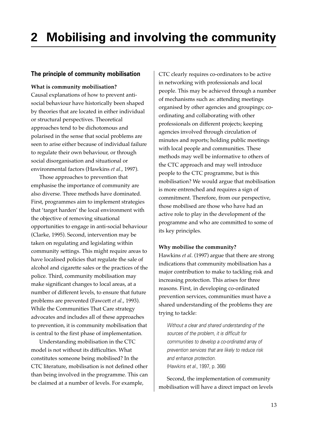# **2 Mobilising and involving the community**

## **The principle of community mobilisation**

#### **What is community mobilisation?**

Causal explanations of how to prevent antisocial behaviour have historically been shaped by theories that are located in either individual or structural perspectives. Theoretical approaches tend to be dichotomous and polarised in the sense that social problems are seen to arise either because of individual failure to regulate their own behaviour, or through social disorganisation and situational or environmental factors (Hawkins *et al*., 1997).

Those approaches to prevention that emphasise the importance of community are also diverse. Three methods have dominated. First, programmes aim to implement strategies that 'target harden' the local environment with the objective of removing situational opportunities to engage in anti-social behaviour (Clarke, 1995). Second, intervention may be taken on regulating and legislating within community settings. This might require areas to have localised policies that regulate the sale of alcohol and cigarette sales or the practices of the police. Third, community mobilisation may make significant changes to local areas, at a number of different levels, to ensure that future problems are prevented (Fawcett *et al.*, 1993). While the Communities That Care strategy advocates and includes all of these approaches to prevention, it is community mobilisation that is central to the first phase of implementation.

Understanding mobilisation in the CTC model is not without its difficulties. What constitutes someone being mobilised? In the CTC literature, mobilisation is not defined other than being involved in the programme. This can be claimed at a number of levels. For example,

CTC clearly requires co-ordinators to be active in networking with professionals and local people. This may be achieved through a number of mechanisms such as: attending meetings organised by other agencies and groupings; coordinating and collaborating with other professionals on different projects; keeping agencies involved through circulation of minutes and reports; holding public meetings with local people and communities. These methods may well be informative to others of the CTC approach and may well introduce people to the CTC programme, but is this mobilisation? We would argue that mobilisation is more entrenched and requires a sign of commitment. Therefore, from our perspective, those mobilised are those who have had an active role to play in the development of the programme and who are committed to some of its key principles.

#### **Why mobilise the community?**

Hawkins *et al*. (1997) argue that there are strong indications that community mobilisation has a major contribution to make to tackling risk and increasing protection. This arises for three reasons. First, in developing co-ordinated prevention services, communities must have a shared understanding of the problems they are trying to tackle:

Without a clear and shared understanding of the sources of the problem, it is difficult for communities to develop a co-ordinated array of prevention services that are likely to reduce risk and enhance protection. (Hawkins et al., 1997, p. 366)

Second, the implementation of community mobilisation will have a direct impact on levels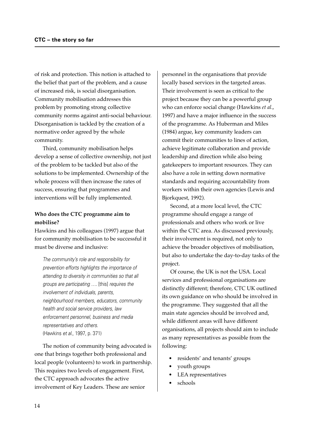of risk and protection. This notion is attached to the belief that part of the problem, and a cause of increased risk, is social disorganisation. Community mobilisation addresses this problem by promoting strong collective community norms against anti-social behaviour. Disorganisation is tackled by the creation of a normative order agreed by the whole community.

Third, community mobilisation helps develop a sense of collective ownership, not just of the problem to be tackled but also of the solutions to be implemented. Ownership of the whole process will then increase the rates of success, ensuring that programmes and interventions will be fully implemented.

## **Who does the CTC programme aim to mobilise?**

Hawkins and his colleagues (1997) argue that for community mobilisation to be successful it must be diverse and inclusive:

The community's role and responsibility for prevention efforts highlights the importance of attending to diversity in communities so that all groups are participating …. [this] requires the involvement of individuals, parents, neighbourhood members, educators, community health and social service providers, law enforcement personnel, business and media representatives and others. (Hawkins et al., 1997, p. 371)

The notion of community being advocated is one that brings together both professional and local people (volunteers) to work in partnership. This requires two levels of engagement. First, the CTC approach advocates the active involvement of Key Leaders. These are senior

personnel in the organisations that provide locally based services in the targeted areas. Their involvement is seen as critical to the project because they can be a powerful group who can enforce social change (Hawkins *et al*., 1997) and have a major influence in the success of the programme. As Huberman and Miles (1984) argue, key community leaders can commit their communities to lines of action, achieve legitimate collaboration and provide leadership and direction while also being gatekeepers to important resources. They can also have a role in setting down normative standards and requiring accountability from workers within their own agencies (Lewis and Bjorkquest, 1992).

Second, at a more local level, the CTC programme should engage a range of professionals and others who work or live within the CTC area. As discussed previously, their involvement is required, not only to achieve the broader objectives of mobilisation, but also to undertake the day-to-day tasks of the project.

Of course, the UK is not the USA. Local services and professional organisations are distinctly different; therefore, CTC UK outlined its own guidance on who should be involved in the programme. They suggested that all the main state agencies should be involved and, while different areas will have different organisations, all projects should aim to include as many representatives as possible from the following:

- residents' and tenants' groups
- youth groups
- LEA representatives
- schools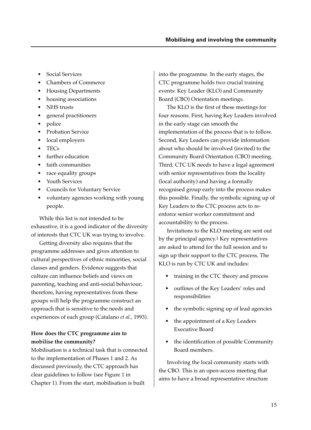- Social Services
- Chambers of Commerce
- Housing Departments
- housing associations
- NHS trusts
- general practitioners
- police
- Probation Service
- local employers
- TECs
- further education
- faith communities
- race equality groups
- Youth Services
- Councils for Voluntary Service
- voluntary agencies working with young people.

While this list is not intended to be exhaustive, it is a good indicator of the diversity of interests that CTC UK was trying to involve.

Getting diversity also requires that the programme addresses and gives attention to cultural perspectives of ethnic minorities, social classes and genders. Evidence suggests that culture can influence beliefs and views on parenting, teaching and anti-social behaviour; therefore, having representatives from these groups will help the programme construct an approach that is sensitive to the needs and experiences of each group (Catalano *et al.*, 1993).

#### **How does the CTC programme aim to mobilise the community?**

Mobilisation is a technical task that is connected to the implementation of Phases 1 and 2. As discussed previously, the CTC approach has clear guidelines to follow (see Figure 1 in Chapter 1). From the start, mobilisation is built

into the programme. In the early stages, the CTC programme holds two crucial training events: Key Leader (KLO) and Community Board (CBO) Orientation meetings.

The KLO is the first of these meetings for four reasons. First, having Key Leaders involved in the early stage can smooth the implementation of the process that is to follow. Second, Key Leaders can provide information about who should be involved (invited) to the Community Board Orientation (CBO) meeting. Third, CTC UK needs to have a legal agreement with senior representatives from the locality (local authority) and having a formally recognised group early into the process makes this possible. Finally, the symbolic signing up of Key Leaders to the CTC process acts to reenforce senior worker commitment and accountability to the process.

Invitations to the KLO meeting are sent out by the principal agency.1 Key representatives are asked to attend for the full session and to sign up their support to the CTC process. The KLO is run by CTC UK and includes:

- training in the CTC theory and process
- outlines of the Key Leaders' roles and responsibilities
- the symbolic signing up of lead agencies
- the appointment of a Key Leaders Executive Board
- the identification of possible Community Board members.

Involving the local community starts with the CBO. This is an open-access meeting that aims to have a broad representative structure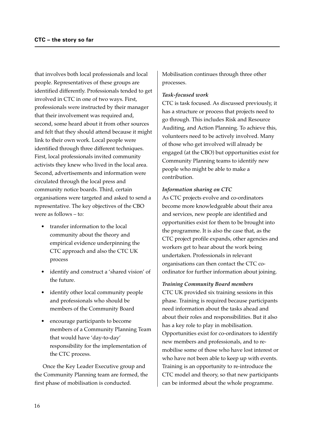that involves both local professionals and local people. Representatives of these groups are identified differently. Professionals tended to get involved in CTC in one of two ways. First, professionals were instructed by their manager that their involvement was required and, second, some heard about it from other sources and felt that they should attend because it might link to their own work. Local people were identified through three different techniques. First, local professionals invited community activists they knew who lived in the local area. Second, advertisements and information were circulated through the local press and community notice boards. Third, certain organisations were targeted and asked to send a representative. The key objectives of the CBO were as follows – to:

- transfer information to the local community about the theory and empirical evidence underpinning the CTC approach and also the CTC UK process
- identify and construct a 'shared vision' of the future.
- identify other local community people and professionals who should be members of the Community Board
- encourage participants to become members of a Community Planning Team that would have 'day-to-day' responsibility for the implementation of the CTC process.

Once the Key Leader Executive group and the Community Planning team are formed, the first phase of mobilisation is conducted.

Mobilisation continues through three other processes.

#### *Task-focused work*

CTC is task focused. As discussed previously, it has a structure or process that projects need to go through. This includes Risk and Resource Auditing, and Action Planning. To achieve this, volunteers need to be actively involved. Many of those who get involved will already be engaged (at the CBO) but opportunities exist for Community Planning teams to identify new people who might be able to make a contribution.

#### *Information sharing on CTC*

As CTC projects evolve and co-ordinators become more knowledgeable about their area and services, new people are identified and opportunities exist for them to be brought into the programme. It is also the case that, as the CTC project profile expands, other agencies and workers get to hear about the work being undertaken. Professionals in relevant organisations can then contact the CTC coordinator for further information about joining.

#### *Training Community Board members*

CTC UK provided six training sessions in this phase. Training is required because participants need information about the tasks ahead and about their roles and responsibilities. But it also has a key role to play in mobilisation. Opportunities exist for co-ordinators to identify new members and professionals, and to remobilise some of those who have lost interest or who have not been able to keep up with events. Training is an opportunity to re-introduce the CTC model and theory, so that new participants can be informed about the whole programme.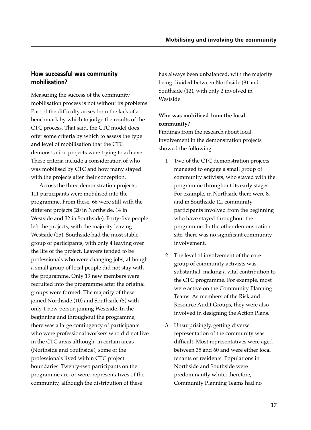## **How successful was community mobilisation?**

Measuring the success of the community mobilisation process is not without its problems. Part of the difficulty arises from the lack of a benchmark by which to judge the results of the CTC process. That said, the CTC model does offer some criteria by which to assess the type and level of mobilisation that the CTC demonstration projects were trying to achieve. These criteria include a consideration of who was mobilised by CTC and how many stayed with the projects after their conception.

Across the three demonstration projects, 111 participants were mobilised into the programme. From these, 66 were still with the different projects (20 in Northside, 14 in Westside and 32 in Southside). Forty-five people left the projects, with the majority leaving Westside (25). Southside had the most stable group of participants, with only 4 leaving over the life of the project. Leavers tended to be professionals who were changing jobs, although a small group of local people did not stay with the programme. Only 19 new members were recruited into the programme after the original groups were formed. The majority of these joined Northside (10) and Southside (8) with only 1 new person joining Westside. In the beginning and throughout the programme, there was a large contingency of participants who were professional workers who did not live in the CTC areas although, in certain areas (Northside and Southside), some of the professionals lived within CTC project boundaries. Twenty-two participants on the programme are, or were, representatives of the community, although the distribution of these

has always been unbalanced, with the majority being divided between Northside (8) and Southside (12), with only 2 involved in Westside.

## **Who was mobilised from the local community?**

Findings from the research about local involvement in the demonstration projects showed the following.

- 1 Two of the CTC demonstration projects managed to engage a small group of community activists, who stayed with the programme throughout its early stages. For example, in Northside there were 8, and in Southside 12, community participants involved from the beginning who have stayed throughout the programme. In the other demonstration site, there was no significant community involvement.
- 2 The level of involvement of the core group of community activists was substantial, making a vital contribution to the CTC programme. For example, most were active on the Community Planning Teams. As members of the Risk and Resource Audit Groups, they were also involved in designing the Action Plans.
- 3 Unsurprisingly, getting diverse representation of the community was difficult. Most representatives were aged between 35 and 60 and were either local tenants or residents. Populations in Northside and Southside were predominantly white; therefore, Community Planning Teams had no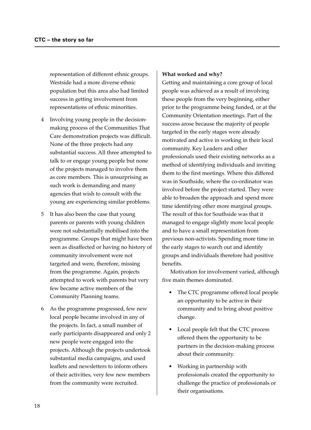representation of different ethnic groups. Westside had a more diverse ethnic population but this area also had limited success in getting involvement from representations of ethnic minorities.

- 4 Involving young people in the decisionmaking process of the Communities That Care demonstration projects was difficult. None of the three projects had any substantial success. All three attempted to talk to or engage young people but none of the projects managed to involve them as core members. This is unsurprising as such work is demanding and many agencies that wish to consult with the young are experiencing similar problems.
- 5 It has also been the case that young parents or parents with young children were not substantially mobilised into the programme. Groups that might have been seen as disaffected or having no history of community involvement were not targeted and were, therefore, missing from the programme. Again, projects attempted to work with parents but very few became active members of the Community Planning teams.
- 6 As the programme progressed, few new local people became involved in any of the projects. In fact, a small number of early participants disappeared and only 2 new people were engaged into the projects. Although the projects undertook substantial media campaigns, and used leaflets and newsletters to inform others of their activities, very few new members from the community were recruited.

#### **What worked and why?**

Getting and maintaining a core group of local people was achieved as a result of involving these people from the very beginning, either prior to the programme being funded, or at the Community Orientation meetings. Part of the success arose because the majority of people targeted in the early stages were already motivated and active in working in their local community. Key Leaders and other professionals used their existing networks as a method of identifying individuals and inviting them to the first meetings. Where this differed was in Southside, where the co-ordinator was involved before the project started. They were able to broaden the approach and spend more time identifying other more marginal groups. The result of this for Southside was that it managed to engage slightly more local people and to have a small representation from previous non-activists. Spending more time in the early stages to search out and identify groups and individuals therefore had positive benefits.

Motivation for involvement varied, although five main themes dominated.

- The CTC programme offered local people an opportunity to be active in their community and to bring about positive change.
- Local people felt that the CTC process offered them the opportunity to be partners in the decision-making process about their community.
- Working in partnership with professionals created the opportunity to challenge the practice of professionals or their organisations.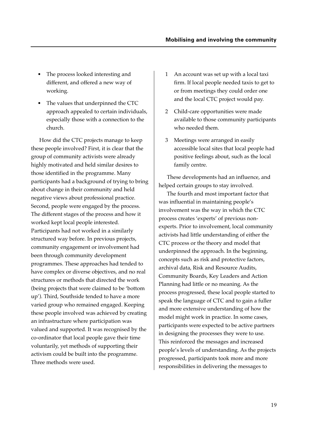- The process looked interesting and different, and offered a new way of working.
- The values that underpinned the CTC approach appealed to certain individuals, especially those with a connection to the church.

How did the CTC projects manage to keep these people involved? First, it is clear that the group of community activists were already highly motivated and held similar desires to those identified in the programme. Many participants had a background of trying to bring about change in their community and held negative views about professional practice. Second, people were engaged by the process. The different stages of the process and how it worked kept local people interested. Participants had not worked in a similarly structured way before. In previous projects, community engagement or involvement had been through community development programmes. These approaches had tended to have complex or diverse objectives, and no real structures or methods that directed the work (being projects that were claimed to be 'bottom up'). Third, Southside tended to have a more varied group who remained engaged. Keeping these people involved was achieved by creating an infrastructure where participation was valued and supported. It was recognised by the co-ordinator that local people gave their time voluntarily, yet methods of supporting their activism could be built into the programme. Three methods were used.

- 1 An account was set up with a local taxi firm. If local people needed taxis to get to or from meetings they could order one and the local CTC project would pay.
- 2 Child-care opportunities were made available to those community participants who needed them.
- 3 Meetings were arranged in easily accessible local sites that local people had positive feelings about, such as the local family centre.

These developments had an influence, and helped certain groups to stay involved.

The fourth and most important factor that was influential in maintaining people's involvement was the way in which the CTC process creates 'experts' of previous nonexperts. Prior to involvement, local community activists had little understanding of either the CTC process or the theory and model that underpinned the approach. In the beginning, concepts such as risk and protective factors, archival data, Risk and Resource Audits, Community Boards, Key Leaders and Action Planning had little or no meaning. As the process progressed, these local people started to speak the language of CTC and to gain a fuller and more extensive understanding of how the model might work in practice. In some cases, participants were expected to be active partners in designing the processes they were to use. This reinforced the messages and increased people's levels of understanding. As the projects progressed, participants took more and more responsibilities in delivering the messages to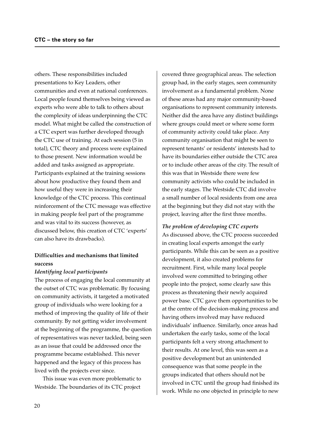others. These responsibilities included presentations to Key Leaders, other communities and even at national conferences. Local people found themselves being viewed as experts who were able to talk to others about the complexity of ideas underpinning the CTC model. What might be called the construction of a CTC expert was further developed through the CTC use of training. At each session (5 in total), CTC theory and process were explained to those present. New information would be added and tasks assigned as appropriate. Participants explained at the training sessions about how productive they found them and how useful they were in increasing their knowledge of the CTC process. This continual reinforcement of the CTC message was effective in making people feel part of the programme and was vital to its success (however, as discussed below, this creation of CTC 'experts' can also have its drawbacks).

## **Difficulties and mechanisms that limited success**

#### *Identifying local participants*

The process of engaging the local community at the outset of CTC was problematic. By focusing on community activists, it targeted a motivated group of individuals who were looking for a method of improving the quality of life of their community. By not getting wider involvement at the beginning of the programme, the question of representatives was never tackled, being seen as an issue that could be addressed once the programme became established. This never happened and the legacy of this process has lived with the projects ever since.

This issue was even more problematic to Westside. The boundaries of its CTC project

covered three geographical areas. The selection group had, in the early stages, seen community involvement as a fundamental problem. None of these areas had any major community-based organisations to represent community interests. Neither did the area have any distinct buildings where groups could meet or where some form of community activity could take place. Any community organisation that might be seen to represent tenants' or residents' interests had to have its boundaries either outside the CTC area or to include other areas of the city. The result of this was that in Westside there were few community activists who could be included in the early stages. The Westside CTC did involve a small number of local residents from one area at the beginning but they did not stay with the project, leaving after the first three months.

#### *The problem of developing CTC experts*

As discussed above, the CTC process succeeded in creating local experts amongst the early participants. While this can be seen as a positive development, it also created problems for recruitment. First, while many local people involved were committed to bringing other people into the project, some clearly saw this process as threatening their newly acquired power base. CTC gave them opportunities to be at the centre of the decision-making process and having others involved may have reduced individuals' influence. Similarly, once areas had undertaken the early tasks, some of the local participants felt a very strong attachment to their results. At one level, this was seen as a positive development but an unintended consequence was that some people in the groups indicated that others should not be involved in CTC until the group had finished its work. While no one objected in principle to new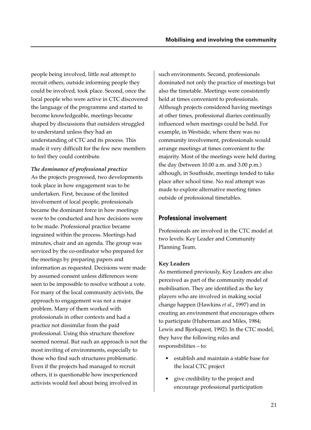people being involved, little real attempt to recruit others, outside informing people they could be involved, took place. Second, once the local people who were active in CTC discovered the language of the programme and started to become knowledgeable, meetings became shaped by discussions that outsiders struggled to understand unless they had an understanding of CTC and its process. This made it very difficult for the few new members to feel they could contribute.

*The dominance of professional practice* As the projects progressed, two developments took place in how engagement was to be undertaken. First, because of the limited involvement of local people, professionals became the dominant force in how meetings were to be conducted and how decisions were to be made. Professional practice became ingrained within the process. Meetings had minutes, chair and an agenda. The group was serviced by the co-ordinator who prepared for the meetings by preparing papers and information as requested. Decisions were made by assumed consent unless differences were seen to be impossible to resolve without a vote. For many of the local community activists, the approach to engagement was not a major problem. Many of them worked with professionals in other contexts and had a practice not dissimilar from the paid professional. Using this structure therefore seemed normal. But such an approach is not the most inviting of environments, especially to those who find such structures problematic. Even if the projects had managed to recruit others, it is questionable how inexperienced activists would feel about being involved in

such environments. Second, professionals dominated not only the practice of meetings but also the timetable. Meetings were consistently held at times convenient to professionals. Although projects considered having meetings at other times, professional diaries continually influenced when meetings could be held. For example, in Westside, where there was no community involvement, professionals would arrange meetings at times convenient to the majority. Most of the meetings were held during the day (between 10.00 a.m. and 3.00 p.m.) although, in Southside, meetings tended to take place after school time. No real attempt was made to explore alternative meeting times outside of professional timetables.

## **Professional involvement**

Professionals are involved in the CTC model at two levels: Key Leader and Community Planning Team.

#### **Key Leaders**

As mentioned previously, Key Leaders are also perceived as part of the community model of mobilisation. They are identified as the key players who are involved in making social change happen (Hawkins *et al*., 1997) and in creating an environment that encourages others to participate (Huberman and Miles, 1984; Lewis and Bjorkquest, 1992). In the CTC model, they have the following roles and responsibilities – to:

- establish and maintain a stable base for the local CTC project
- give credibility to the project and encourage professional participation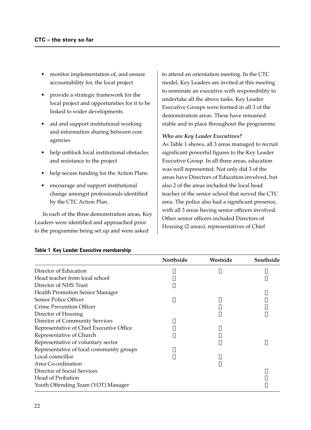- monitor implementation of, and ensure accountability for, the local project
- provide a strategic framework for the local project and opportunities for it to be linked to wider developments
- aid and support institutional working and information sharing between core agencies
- help unblock local institutional obstacles and resistance to the project
- help secure funding for the Action Plans
- encourage and support institutional change amongst professionals identified by the CTC Action Plan.

In each of the three demonstration areas, Key Leaders were identified and approached prior to the programme being set up and were asked

to attend an orientation meeting. In the CTC model, Key Leaders are invited at this meeting to nominate an executive with responsibility to undertake all the above tasks. Key Leader Executive Groups were formed in all 3 of the demonstration areas. These have remained stable and in place throughout the programme.

#### *Who are Key Leader Executives?*

As Table 1 shows, all 3 areas managed to recruit significant powerful figures to the Key Leader Executive Group. In all three areas, education was well represented. Not only did 3 of the areas have Directors of Education involved, but also 2 of the areas included the local head teacher of the senior school that served the CTC area. The police also had a significant presence, with all 3 areas having senior officers involved. Other senior officers included Directors of Housing (2 areas), representatives of Chief

|                                          | Northside | Westside | Southside |
|------------------------------------------|-----------|----------|-----------|
| Director of Education                    |           |          |           |
| Head teacher from local school           |           |          |           |
| Director of NHS Trust                    |           |          |           |
| <b>Health Promotion Senior Manager</b>   |           |          |           |
| <b>Senior Police Officer</b>             |           |          |           |
| Crime Prevention Officer                 |           |          |           |
| Director of Housing                      |           |          |           |
| <b>Director of Community Services</b>    |           |          |           |
| Representative of Chief Executive Office |           |          |           |
| Representative of Church                 |           |          |           |
| Representative of voluntary sector       |           |          |           |
| Representative of local community groups |           |          |           |
| Local councillor                         |           |          |           |
| Area Co-ordination                       |           |          |           |
| Director of Social Services              |           |          |           |
| Head of Probation                        |           |          |           |
| Youth Offending Team (YOT) Manager       |           |          |           |

#### **Table 1 Key Leader Executive membership**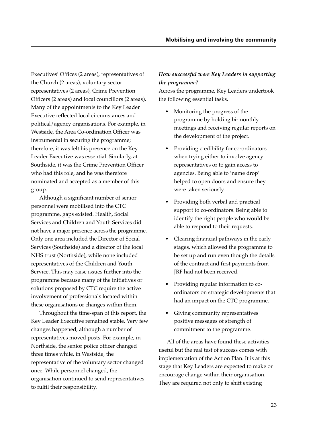Executives' Offices (2 areas), representatives of the Church (2 areas), voluntary sector representatives (2 areas), Crime Prevention Officers (2 areas) and local councillors (2 areas). Many of the appointments to the Key Leader Executive reflected local circumstances and political/agency organisations. For example, in Westside, the Area Co-ordination Officer was instrumental in securing the programme; therefore, it was felt his presence on the Key Leader Executive was essential. Similarly, at Southside, it was the Crime Prevention Officer who had this role, and he was therefore nominated and accepted as a member of this group.

Although a significant number of senior personnel were mobilised into the CTC programme, gaps existed. Health, Social Services and Children and Youth Services did not have a major presence across the programme. Only one area included the Director of Social Services (Southside) and a director of the local NHS trust (Northside), while none included representatives of the Children and Youth Service. This may raise issues further into the programme because many of the initiatives or solutions proposed by CTC require the active involvement of professionals located within these organisations or changes within them.

Throughout the time-span of this report, the Key Leader Executive remained stable. Very few changes happened, although a number of representatives moved posts. For example, in Northside, the senior police officer changed three times while, in Westside, the representative of the voluntary sector changed once. While personnel changed, the organisation continued to send representatives to fulfil their responsibility.

## *How successful were Key Leaders in supporting the programme?*

Across the programme, Key Leaders undertook the following essential tasks.

- Monitoring the progress of the programme by holding bi-monthly meetings and receiving regular reports on the development of the project.
- Providing credibility for co-ordinators when trying either to involve agency representatives or to gain access to agencies. Being able to 'name drop' helped to open doors and ensure they were taken seriously.
- Providing both verbal and practical support to co-ordinators. Being able to identify the right people who would be able to respond to their requests.
- Clearing financial pathways in the early stages, which allowed the programme to be set up and run even though the details of the contract and first payments from JRF had not been received.
- Providing regular information to coordinators on strategic developments that had an impact on the CTC programme.
- Giving community representatives positive messages of strength of commitment to the programme.

All of the areas have found these activities useful but the real test of success comes with implementation of the Action Plan. It is at this stage that Key Leaders are expected to make or encourage change within their organisation. They are required not only to shift existing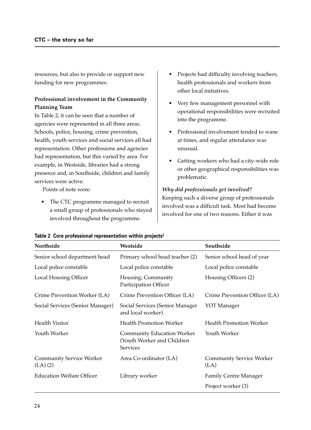resources, but also to provide or support new funding for new programmes.

## **Professional involvement in the Community Planning Team**

In Table 2, it can be seen that a number of agencies were represented in all three areas. Schools, police, housing, crime prevention, health, youth services and social services all had representation. Other professions and agencies had representation, but this varied by area. For example, in Westside, libraries had a strong presence and, in Southside, children and family services were active.

Points of note were:

• The CTC programme managed to recruit a small group of professionals who stayed involved throughout the programme.

- Projects had difficulty involving teachers, health professionals and workers from other local initiatives.
- Very few management personnel with operational responsibilities were recruited into the programme.
- Professional involvement tended to wane at times, and regular attendance was unusual.
- Getting workers who had a city-wide role or other geographical responsibilities was problematic.

#### *Why did professionals get involved?*

Keeping such a diverse group of professionals involved was a difficult task. Most had become involved for one of two reasons. Either it was

| <b>Northside</b>                                | Westside                                                                           | Southside                               |
|-------------------------------------------------|------------------------------------------------------------------------------------|-----------------------------------------|
| Senior school department head                   | Primary school head teacher (2)                                                    | Senior school head of year              |
| Local police constable                          | Local police constable                                                             | Local police constable                  |
| <b>Local Housing Officer</b>                    | Housing; Community<br>Participation Officer                                        | Housing Officers (2)                    |
| Crime Prevention Worker (LA)                    | Crime Prevention Officer (LA)                                                      | Crime Prevention Officer (LA)           |
| Social Services (Senior Manager)                | Social Services (Senior Manager<br>and local worker)                               | YOT Manager                             |
| <b>Health Visitor</b>                           | <b>Health Promotion Worker</b>                                                     | <b>Health Promotion Worker</b>          |
| Youth Worker                                    | <b>Community Education Worker</b><br>(Youth Worker and Children<br><b>Services</b> | Youth Worker                            |
| <b>Community Service Worker</b><br>$(LA)$ $(2)$ | Area Co-ordinator (LA)                                                             | <b>Community Service Worker</b><br>(LA) |
| <b>Education Welfare Officer</b>                | Library worker                                                                     | <b>Family Centre Manager</b>            |
|                                                 |                                                                                    | Project worker (3)                      |

|  | Table 2 Core professional representation within projects <sup>2</sup> |  |
|--|-----------------------------------------------------------------------|--|
|  |                                                                       |  |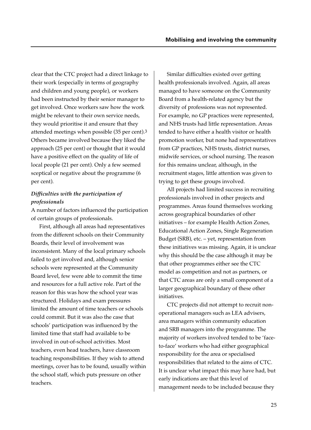clear that the CTC project had a direct linkage to their work (especially in terms of geography and children and young people), or workers had been instructed by their senior manager to get involved. Once workers saw how the work might be relevant to their own service needs, they would prioritise it and ensure that they attended meetings when possible (35 per cent).3 Others became involved because they liked the approach (25 per cent) or thought that it would have a positive effect on the quality of life of local people (21 per cent). Only a few seemed sceptical or negative about the programme (6 per cent).

## *Difficulties with the participation of professionals*

A number of factors influenced the participation of certain groups of professionals.

First, although all areas had representatives from the different schools on their Community Boards, their level of involvement was inconsistent. Many of the local primary schools failed to get involved and, although senior schools were represented at the Community Board level, few were able to commit the time and resources for a full active role. Part of the reason for this was how the school year was structured. Holidays and exam pressures limited the amount of time teachers or schools could commit. But it was also the case that schools' participation was influenced by the limited time that staff had available to be involved in out-of-school activities. Most teachers, even head teachers, have classroom teaching responsibilities. If they wish to attend meetings, cover has to be found, usually within the school staff, which puts pressure on other teachers.

Similar difficulties existed over getting health professionals involved. Again, all areas managed to have someone on the Community Board from a health-related agency but the diversity of professions was not represented. For example, no GP practices were represented, and NHS trusts had little representation. Areas tended to have either a health visitor or health promotion worker, but none had representatives from GP practices, NHS trusts, district nurses, midwife services, or school nursing. The reason for this remains unclear, although, in the recruitment stages, little attention was given to trying to get these groups involved.

All projects had limited success in recruiting professionals involved in other projects and programmes. Areas found themselves working across geographical boundaries of other initiatives – for example Health Action Zones, Educational Action Zones, Single Regeneration Budget (SRB), etc. – yet, representation from these initiatives was missing. Again, it is unclear why this should be the case although it may be that other programmes either see the CTC model as competition and not as partners, or that CTC areas are only a small component of a larger geographical boundary of these other initiatives.

CTC projects did not attempt to recruit nonoperational managers such as LEA advisers, area managers within community education and SRB managers into the programme. The majority of workers involved tended to be 'faceto-face' workers who had either geographical responsibility for the area or specialised responsibilities that related to the aims of CTC. It is unclear what impact this may have had, but early indications are that this level of management needs to be included because they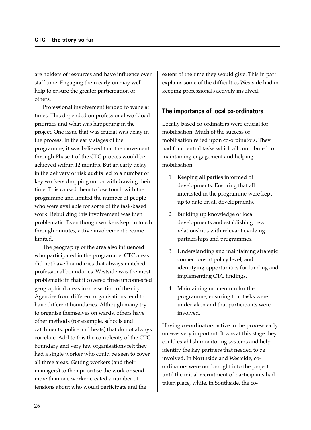are holders of resources and have influence over staff time. Engaging them early on may well help to ensure the greater participation of others.

Professional involvement tended to wane at times. This depended on professional workload priorities and what was happening in the project. One issue that was crucial was delay in the process. In the early stages of the programme, it was believed that the movement through Phase 1 of the CTC process would be achieved within 12 months. But an early delay in the delivery of risk audits led to a number of key workers dropping out or withdrawing their time. This caused them to lose touch with the programme and limited the number of people who were available for some of the task-based work. Rebuilding this involvement was then problematic. Even though workers kept in touch through minutes, active involvement became limited.

The geography of the area also influenced who participated in the programme. CTC areas did not have boundaries that always matched professional boundaries. Westside was the most problematic in that it covered three unconnected geographical areas in one section of the city. Agencies from different organisations tend to have different boundaries. Although many try to organise themselves on wards, others have other methods (for example, schools and catchments, police and beats) that do not always correlate. Add to this the complexity of the CTC boundary and very few organisations felt they had a single worker who could be seen to cover all three areas. Getting workers (and their managers) to then prioritise the work or send more than one worker created a number of tensions about who would participate and the

extent of the time they would give. This in part explains some of the difficulties Westside had in keeping professionals actively involved.

## **The importance of local co-ordinators**

Locally based co-ordinators were crucial for mobilisation. Much of the success of mobilisation relied upon co-ordinators. They had four central tasks which all contributed to maintaining engagement and helping mobilisation.

- 1 Keeping all parties informed of developments. Ensuring that all interested in the programme were kept up to date on all developments.
- 2 Building up knowledge of local developments and establishing new relationships with relevant evolving partnerships and programmes.
- 3 Understanding and maintaining strategic connections at policy level, and identifying opportunities for funding and implementing CTC findings.
- 4 Maintaining momentum for the programme, ensuring that tasks were undertaken and that participants were involved.

Having co-ordinators active in the process early on was very important. It was at this stage they could establish monitoring systems and help identify the key partners that needed to be involved. In Northside and Westside, coordinators were not brought into the project until the initial recruitment of participants had taken place, while, in Southside, the co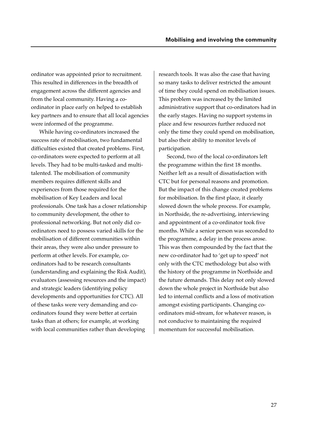ordinator was appointed prior to recruitment. This resulted in differences in the breadth of engagement across the different agencies and from the local community. Having a coordinator in place early on helped to establish key partners and to ensure that all local agencies were informed of the programme.

While having co-ordinators increased the success rate of mobilisation, two fundamental difficulties existed that created problems. First, co-ordinators were expected to perform at all levels. They had to be multi-tasked and multitalented. The mobilisation of community members requires different skills and experiences from those required for the mobilisation of Key Leaders and local professionals. One task has a closer relationship to community development, the other to professional networking. But not only did coordinators need to possess varied skills for the mobilisation of different communities within their areas, they were also under pressure to perform at other levels. For example, coordinators had to be research consultants (understanding and explaining the Risk Audit), evaluators (assessing resources and the impact) and strategic leaders (identifying policy developments and opportunities for CTC). All of these tasks were very demanding and coordinators found they were better at certain tasks than at others; for example, at working with local communities rather than developing

research tools. It was also the case that having so many tasks to deliver restricted the amount of time they could spend on mobilisation issues. This problem was increased by the limited administrative support that co-ordinators had in the early stages. Having no support systems in place and few resources further reduced not only the time they could spend on mobilisation, but also their ability to monitor levels of participation.

Second, two of the local co-ordinators left the programme within the first 18 months. Neither left as a result of dissatisfaction with CTC but for personal reasons and promotion. But the impact of this change created problems for mobilisation. In the first place, it clearly slowed down the whole process. For example, in Northside, the re-advertising, interviewing and appointment of a co-ordinator took five months. While a senior person was seconded to the programme, a delay in the process arose. This was then compounded by the fact that the new co-ordinator had to 'get up to speed' not only with the CTC methodology but also with the history of the programme in Northside and the future demands. This delay not only slowed down the whole project in Northside but also led to internal conflicts and a loss of motivation amongst existing participants. Changing coordinators mid-stream, for whatever reason, is not conducive to maintaining the required momentum for successful mobilisation.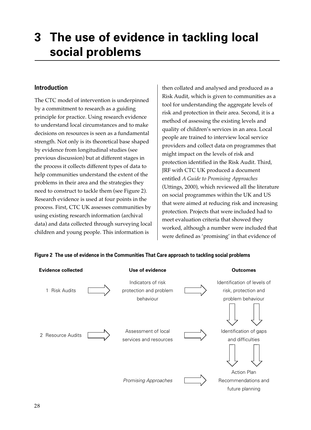# **3 The use of evidence in tackling local social problems**

## **Introduction**

The CTC model of intervention is underpinned by a commitment to research as a guiding principle for practice. Using research evidence to understand local circumstances and to make decisions on resources is seen as a fundamental strength. Not only is its theoretical base shaped by evidence from longitudinal studies (see previous discussion) but at different stages in the process it collects different types of data to help communities understand the extent of the problems in their area and the strategies they need to construct to tackle them (see Figure 2). Research evidence is used at four points in the process. First, CTC UK assesses communities by using existing research information (archival data) and data collected through surveying local children and young people. This information is

then collated and analysed and produced as a Risk Audit, which is given to communities as a tool for understanding the aggregate levels of risk and protection in their area. Second, it is a method of assessing the existing levels and quality of children's services in an area. Local people are trained to interview local service providers and collect data on programmes that might impact on the levels of risk and protection identified in the Risk Audit. Third, JRF with CTC UK produced a document entitled *A Guide to Promising Approaches* (Uttings, 2000), which reviewed all the literature on social programmes within the UK and US that were aimed at reducing risk and increasing protection. Projects that were included had to meet evaluation criteria that showed they worked, although a number were included that were defined as 'promising' in that evidence of

| <b>Evidence collected</b> | Use of evidence                                           | <b>Outcomes</b>                                                          |
|---------------------------|-----------------------------------------------------------|--------------------------------------------------------------------------|
| 1 Risk Audits             | Indicators of risk<br>protection and problem<br>behaviour | Identification of levels of<br>risk, protection and<br>problem behaviour |
|                           |                                                           |                                                                          |
| 2 Resource Audits         | Assessment of local<br>services and resources             | Identification of gaps<br>and difficulties                               |
|                           |                                                           |                                                                          |
|                           |                                                           | <b>Action Plan</b>                                                       |
|                           | Promising Approaches                                      | Recommendations and                                                      |
|                           |                                                           | future planning                                                          |

#### **Figure 2 The use of evidence in the Communities That Care approach to tackling social problems**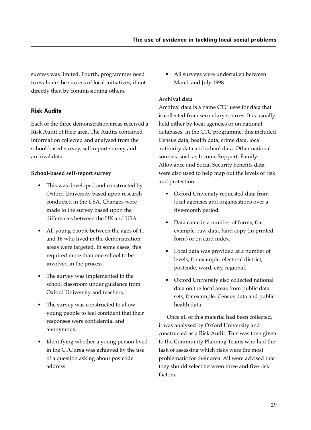success was limited. Fourth, programmes need to evaluate the success of local initiatives, if not directly then by commissioning others.

## **Risk Audits**

Each of the three demonstration areas received a Risk Audit of their area. The Audits contained information collected and analysed from the school-based survey, self-report survey and archival data.

## **School-based self-report survey**

- This was developed and constructed by Oxford University based upon research conducted in the USA. Changes were made to the survey based upon the differences between the UK and USA.
- All young people between the ages of 11 and 16 who lived in the demonstration areas were targeted. In some cases, this required more than one school to be involved in the process.
- The survey was implemented in the school classroom under guidance from Oxford University and teachers.
- The survey was constructed to allow young people to feel confident that their responses were confidential and anonymous.
- Identifying whether a young person lived in the CTC area was achieved by the use of a question asking about postcode address.

• All surveys were undertaken between March and July 1998.

## **Archival data**

Archival data is a name CTC uses for data that is collected from secondary sources. It is usually held either by local agencies or on national databases. In the CTC programme, this included Census data, health data, crime data, local authority data and school data. Other national sources, such as Income Support, Family Allowance and Social Security benefits data, were also used to help map out the levels of risk and protection.

- Oxford University requested data from local agencies and organisations over a five-month period.
- Data came in a number of forms; for example, raw data, hard copy (in printed form) or on card index.
- Local data was provided at a number of levels; for example, electoral district, postcode, ward, city, regional.
- Oxford University also collected national data on the local areas from public data sets; for example, Census data and public health data.

Once all of this material had been collected, it was analysed by Oxford University and constructed as a Risk Audit. This was then given to the Community Planning Teams who had the task of assessing which risks were the most problematic for their area. All were advised that they should select between three and five risk factors.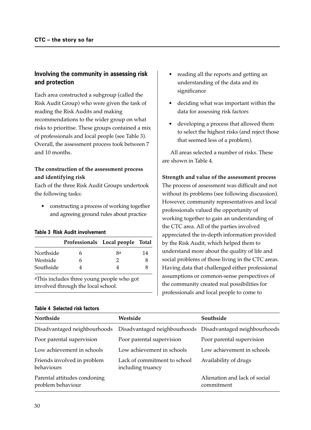## **Involving the community in assessing risk and protection**

Each area constructed a subgroup (called the Risk Audit Group) who were given the task of reading the Risk Audits and making recommendations to the wider group on what risks to prioritise. These groups contained a mix of professionals and local people (see Table 3). Overall, the assessment process took between 7 and 10 months.

## **The construction of the assessment process and identifying risk**

Each of the three Risk Audit Groups undertook the following tasks:

• constructing a process of working together and agreeing ground rules about practice

#### **Table 3 Risk Audit involvement**

|           |   | Professionals Local people Total |    |
|-----------|---|----------------------------------|----|
| Northside | h | Яa                               | 14 |
| Westside  | h |                                  | 8  |
| Southside |   |                                  |    |

aThis includes three young people who got involved through the local school.

- reading all the reports and getting an understanding of the data and its significance
- deciding what was important within the data for assessing risk factors
- developing a process that allowed them to select the highest risks (and reject those that seemed less of a problem).

All areas selected a number of risks. These are shown in Table 4.

#### **Strength and value of the assessment process**

The process of assessment was difficult and not without its problems (see following discussion). However, community representatives and local professionals valued the opportunity of working together to gain an understanding of the CTC area. All of the parties involved appreciated the in-depth information provided by the Risk Audit, which helped them to understand more about the quality of life and social problems of those living in the CTC areas. Having data that challenged either professional assumptions or common-sense perspectives of the community created real possibilities for professionals and local people to come to

| Northside                                         | Westside                                                  | Southside                                   |
|---------------------------------------------------|-----------------------------------------------------------|---------------------------------------------|
| Disadvantaged neighbourhoods                      | Disadvantaged neighbourhoods Disadvantaged neighbourhoods |                                             |
| Poor parental supervision                         | Poor parental supervision                                 | Poor parental supervision                   |
| Low achievement in schools                        | Low achievement in schools                                | Low achievement in schools                  |
| Friends involved in problem<br>behaviours         | Lack of commitment to school<br>including truancy         | Availability of drugs                       |
| Parental attitudes condoning<br>problem behaviour |                                                           | Alienation and lack of social<br>commitment |

#### **Table 4 Selected risk factors**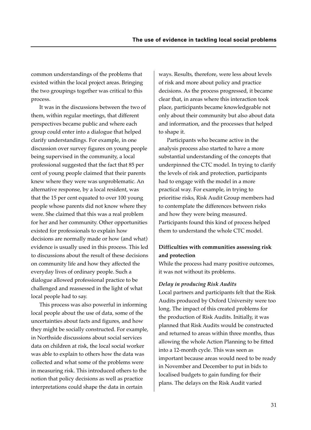common understandings of the problems that existed within the local project areas. Bringing the two groupings together was critical to this process.

It was in the discussions between the two of them, within regular meetings, that different perspectives became public and where each group could enter into a dialogue that helped clarify understandings. For example, in one discussion over survey figures on young people being supervised in the community, a local professional suggested that the fact that 85 per cent of young people claimed that their parents knew where they were was unproblematic. An alternative response, by a local resident, was that the 15 per cent equated to over 100 young people whose parents did not know where they were. She claimed that this was a real problem for her and her community. Other opportunities existed for professionals to explain how decisions are normally made or how (and what) evidence is usually used in this process. This led to discussions about the result of these decisions on community life and how they affected the everyday lives of ordinary people. Such a dialogue allowed professional practice to be challenged and reassessed in the light of what local people had to say.

This process was also powerful in informing local people about the use of data, some of the uncertainties about facts and figures, and how they might be socially constructed. For example, in Northside discussions about social services data on children at risk, the local social worker was able to explain to others how the data was collected and what some of the problems were in measuring risk. This introduced others to the notion that policy decisions as well as practice interpretations could shape the data in certain

ways. Results, therefore, were less about levels of risk and more about policy and practice decisions. As the process progressed, it became clear that, in areas where this interaction took place, participants became knowledgeable not only about their community but also about data and information, and the processes that helped to shape it.

Participants who became active in the analysis process also started to have a more substantial understanding of the concepts that underpinned the CTC model. In trying to clarify the levels of risk and protection, participants had to engage with the model in a more practical way. For example, in trying to prioritise risks, Risk Audit Group members had to contemplate the differences between risks and how they were being measured. Participants found this kind of process helped them to understand the whole CTC model.

## **Difficulties with communities assessing risk and protection**

While the process had many positive outcomes, it was not without its problems.

#### *Delay in producing Risk Audits*

Local partners and participants felt that the Risk Audits produced by Oxford University were too long. The impact of this created problems for the production of Risk Audits. Initially, it was planned that Risk Audits would be constructed and returned to areas within three months, thus allowing the whole Action Planning to be fitted into a 12-month cycle. This was seen as important because areas would need to be ready in November and December to put in bids to localised budgets to gain funding for their plans. The delays on the Risk Audit varied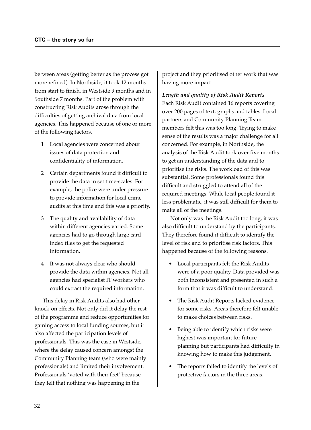between areas (getting better as the process got more refined). In Northside, it took 12 months from start to finish, in Westside 9 months and in Southside 7 months. Part of the problem with constructing Risk Audits arose through the difficulties of getting archival data from local agencies. This happened because of one or more of the following factors.

- 1 Local agencies were concerned about issues of data protection and confidentiality of information.
- 2 Certain departments found it difficult to provide the data in set time-scales. For example, the police were under pressure to provide information for local crime audits at this time and this was a priority.
- 3 The quality and availability of data within different agencies varied. Some agencies had to go through large card index files to get the requested information.
- 4 It was not always clear who should provide the data within agencies. Not all agencies had specialist IT workers who could extract the required information.

This delay in Risk Audits also had other knock-on effects. Not only did it delay the rest of the programme and reduce opportunities for gaining access to local funding sources, but it also affected the participation levels of professionals. This was the case in Westside, where the delay caused concern amongst the Community Planning team (who were mainly professionals) and limited their involvement. Professionals 'voted with their feet' because they felt that nothing was happening in the

project and they prioritised other work that was having more impact.

*Length and quality of Risk Audit Reports* Each Risk Audit contained 16 reports covering over 200 pages of text, graphs and tables. Local partners and Community Planning Team members felt this was too long. Trying to make sense of the results was a major challenge for all concerned. For example, in Northside, the analysis of the Risk Audit took over five months to get an understanding of the data and to prioritise the risks. The workload of this was substantial. Some professionals found this difficult and struggled to attend all of the required meetings. While local people found it less problematic, it was still difficult for them to make all of the meetings.

Not only was the Risk Audit too long, it was also difficult to understand by the participants. They therefore found it difficult to identify the level of risk and to prioritise risk factors. This happened because of the following reasons.

- Local participants felt the Risk Audits were of a poor quality. Data provided was both inconsistent and presented in such a form that it was difficult to understand.
- The Risk Audit Reports lacked evidence for some risks. Areas therefore felt unable to make choices between risks.
- Being able to identify which risks were highest was important for future planning but participants had difficulty in knowing how to make this judgement.
- The reports failed to identify the levels of protective factors in the three areas.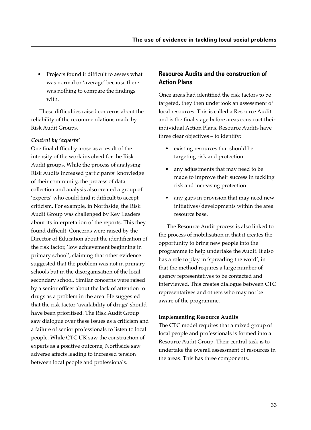• Projects found it difficult to assess what was normal or 'average' because there was nothing to compare the findings with.

These difficulties raised concerns about the reliability of the recommendations made by Risk Audit Groups.

#### *Control by 'experts'*

One final difficulty arose as a result of the intensity of the work involved for the Risk Audit groups. While the process of analysing Risk Audits increased participants' knowledge of their community, the process of data collection and analysis also created a group of 'experts' who could find it difficult to accept criticism. For example, in Northside, the Risk Audit Group was challenged by Key Leaders about its interpretation of the reports. This they found difficult. Concerns were raised by the Director of Education about the identification of the risk factor, 'low achievement beginning in primary school', claiming that other evidence suggested that the problem was not in primary schools but in the disorganisation of the local secondary school. Similar concerns were raised by a senior officer about the lack of attention to drugs as a problem in the area. He suggested that the risk factor 'availability of drugs' should have been prioritised. The Risk Audit Group saw dialogue over these issues as a criticism and a failure of senior professionals to listen to local people. While CTC UK saw the construction of experts as a positive outcome, Northside saw adverse affects leading to increased tension between local people and professionals.

## **Resource Audits and the construction of Action Plans**

Once areas had identified the risk factors to be targeted, they then undertook an assessment of local resources. This is called a Resource Audit and is the final stage before areas construct their individual Action Plans. Resource Audits have three clear objectives – to identify:

- existing resources that should be targeting risk and protection
- any adjustments that may need to be made to improve their success in tackling risk and increasing protection
- any gaps in provision that may need new initiatives/developments within the area resource base.

The Resource Audit process is also linked to the process of mobilisation in that it creates the opportunity to bring new people into the programme to help undertake the Audit. It also has a role to play in 'spreading the word', in that the method requires a large number of agency representatives to be contacted and interviewed. This creates dialogue between CTC representatives and others who may not be aware of the programme.

#### **Implementing Resource Audits**

The CTC model requires that a mixed group of local people and professionals is formed into a Resource Audit Group. Their central task is to undertake the overall assessment of resources in the areas. This has three components.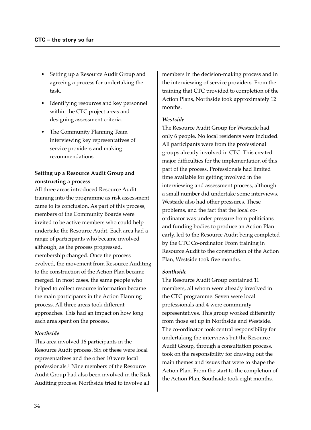- Setting up a Resource Audit Group and agreeing a process for undertaking the task.
- Identifying resources and key personnel within the CTC project areas and designing assessment criteria.
- The Community Planning Team interviewing key representatives of service providers and making recommendations.

## **Setting up a Resource Audit Group and constructing a process**

All three areas introduced Resource Audit training into the programme as risk assessment came to its conclusion. As part of this process, members of the Community Boards were invited to be active members who could help undertake the Resource Audit. Each area had a range of participants who became involved although, as the process progressed, membership changed. Once the process evolved, the movement from Resource Auditing to the construction of the Action Plan became merged. In most cases, the same people who helped to collect resource information became the main participants in the Action Planning process. All three areas took different approaches. This had an impact on how long each area spent on the process.

#### *Northside*

This area involved 16 participants in the Resource Audit process. Six of these were local representatives and the other 10 were local professionals.1 Nine members of the Resource Audit Group had also been involved in the Risk Auditing process. Northside tried to involve all

members in the decision-making process and in the interviewing of service providers. From the training that CTC provided to completion of the Action Plans, Northside took approximately 12 months.

#### *Westside*

The Resource Audit Group for Westside had only 6 people. No local residents were included. All participants were from the professional groups already involved in CTC. This created major difficulties for the implementation of this part of the process. Professionals had limited time available for getting involved in the interviewing and assessment process, although a small number did undertake some interviews. Westside also had other pressures. These problems, and the fact that the local coordinator was under pressure from politicians and funding bodies to produce an Action Plan early, led to the Resource Audit being completed by the CTC Co-ordinator. From training in Resource Audit to the construction of the Action Plan, Westside took five months.

#### *Southside*

The Resource Audit Group contained 11 members, all whom were already involved in the CTC programme. Seven were local professionals and 4 were community representatives. This group worked differently from those set up in Northside and Westside. The co-ordinator took central responsibility for undertaking the interviews but the Resource Audit Group, through a consultation process, took on the responsibility for drawing out the main themes and issues that were to shape the Action Plan. From the start to the completion of the Action Plan, Southside took eight months.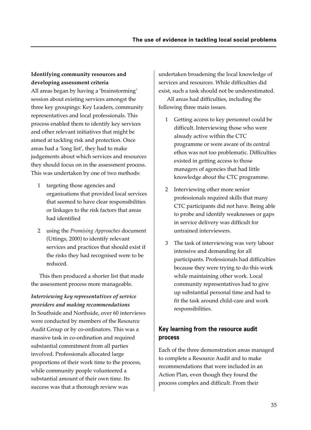## **Identifying community resources and developing assessment criteria**

All areas began by having a 'brainstorming' session about existing services amongst the three key groupings: Key Leaders, community representatives and local professionals. This process enabled them to identify key services and other relevant initiatives that might be aimed at tackling risk and protection. Once areas had a 'long list', they had to make judgements about which services and resources they should focus on in the assessment process. This was undertaken by one of two methods:

- 1 targeting those agencies and organisations that provided local services that seemed to have clear responsibilities or linkages to the risk factors that areas had identified
- 2 using the *Promising Approaches* document (Uttings, 2000) to identify relevant services and practices that should exist if the risks they had recognised were to be reduced.

This then produced a shorter list that made the assessment process more manageable.

*Interviewing key representatives of service providers and making recommendations* In Southside and Northside, over 60 interviews were conducted by members of the Resource Audit Group or by co-ordinators. This was a massive task in co-ordination and required substantial commitment from all parties involved. Professionals allocated large proportions of their work time to the process, while community people volunteered a substantial amount of their own time. Its success was that a thorough review was

undertaken broadening the local knowledge of services and resources. While difficulties did exist, such a task should not be underestimated.

All areas had difficulties, including the following three main issues.

- 1 Getting access to key personnel could be difficult. Interviewing those who were already active within the CTC programme or were aware of its central ethos was not too problematic. Difficulties existed in getting access to those managers of agencies that had little knowledge about the CTC programme.
- 2 Interviewing other more senior professionals required skills that many CTC participants did not have. Being able to probe and identify weaknesses or gaps in service delivery was difficult for untrained interviewers.
- 3 The task of interviewing was very labour intensive and demanding for all participants. Professionals had difficulties because they were trying to do this work while maintaining other work. Local community representatives had to give up substantial personal time and had to fit the task around child-care and work responsibilities.

## **Key learning from the resource audit process**

Each of the three demonstration areas managed to complete a Resource Audit and to make recommendations that were included in an Action Plan, even though they found the process complex and difficult. From their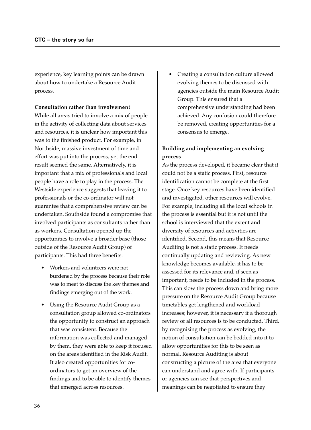experience, key learning points can be drawn about how to undertake a Resource Audit process.

#### **Consultation rather than involvement**

While all areas tried to involve a mix of people in the activity of collecting data about services and resources, it is unclear how important this was to the finished product. For example, in Northside, massive investment of time and effort was put into the process, yet the end result seemed the same. Alternatively, it is important that a mix of professionals and local people have a role to play in the process. The Westside experience suggests that leaving it to professionals or the co-ordinator will not guarantee that a comprehensive review can be undertaken. Southside found a compromise that involved participants as consultants rather than as workers. Consultation opened up the opportunities to involve a broader base (those outside of the Resource Audit Group) of participants. This had three benefits.

- Workers and volunteers were not burdened by the process because their role was to meet to discuss the key themes and findings emerging out of the work.
- Using the Resource Audit Group as a consultation group allowed co-ordinators the opportunity to construct an approach that was consistent. Because the information was collected and managed by them, they were able to keep it focused on the areas identified in the Risk Audit. It also created opportunities for coordinators to get an overview of the findings and to be able to identify themes that emerged across resources.

• Creating a consultation culture allowed evolving themes to be discussed with agencies outside the main Resource Audit Group. This ensured that a comprehensive understanding had been achieved. Any confusion could therefore be removed, creating opportunities for a consensus to emerge.

## **Building and implementing an evolving process**

As the process developed, it became clear that it could not be a static process. First, resource identification cannot be complete at the first stage. Once key resources have been identified and investigated, other resources will evolve. For example, including all the local schools in the process is essential but it is not until the school is interviewed that the extent and diversity of resources and activities are identified. Second, this means that Resource Auditing is not a static process. It needs continually updating and reviewing. As new knowledge becomes available, it has to be assessed for its relevance and, if seen as important, needs to be included in the process. This can slow the process down and bring more pressure on the Resource Audit Group because timetables get lengthened and workload increases; however, it is necessary if a thorough review of all resources is to be conducted. Third, by recognising the process as evolving, the notion of consultation can be bedded into it to allow opportunities for this to be seen as normal. Resource Auditing is about constructing a picture of the area that everyone can understand and agree with. If participants or agencies can see that perspectives and meanings can be negotiated to ensure they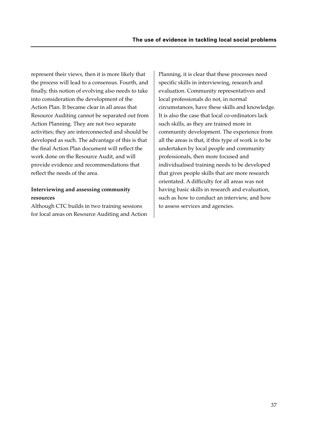represent their views, then it is more likely that the process will lead to a consensus. Fourth, and finally, this notion of evolving also needs to take into consideration the development of the Action Plan. It became clear in all areas that Resource Auditing cannot be separated out from Action Planning. They are not two separate activities; they are interconnected and should be developed as such. The advantage of this is that the final Action Plan document will reflect the work done on the Resource Audit, and will provide evidence and recommendations that reflect the needs of the area.

#### **Interviewing and assessing community resources**

Although CTC builds in two training sessions for local areas on Resource Auditing and Action Planning, it is clear that these processes need specific skills in interviewing, research and evaluation. Community representatives and local professionals do not, in normal circumstances, have these skills and knowledge. It is also the case that local co-ordinators lack such skills, as they are trained more in community development. The experience from all the areas is that, if this type of work is to be undertaken by local people and community professionals, then more focused and individualised training needs to be developed that gives people skills that are more research orientated. A difficulty for all areas was not having basic skills in research and evaluation, such as how to conduct an interview, and how to assess services and agencies.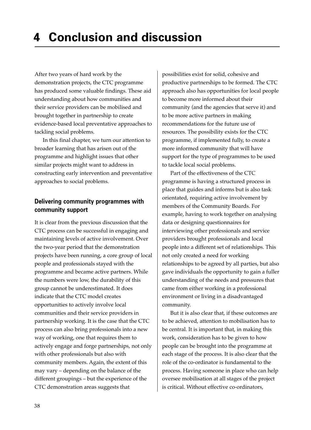After two years of hard work by the demonstration projects, the CTC programme has produced some valuable findings. These aid understanding about how communities and their service providers can be mobilised and brought together in partnership to create evidence-based local preventative approaches to tackling social problems.

In this final chapter, we turn our attention to broader learning that has arisen out of the programme and highlight issues that other similar projects might want to address in constructing early intervention and preventative approaches to social problems.

## **Delivering community programmes with community support**

It is clear from the previous discussion that the CTC process can be successful in engaging and maintaining levels of active involvement. Over the two-year period that the demonstration projects have been running, a core group of local people and professionals stayed with the programme and became active partners. While the numbers were low, the durability of this group cannot be underestimated. It does indicate that the CTC model creates opportunities to actively involve local communities and their service providers in partnership working. It is the case that the CTC process can also bring professionals into a new way of working, one that requires them to actively engage and forge partnerships, not only with other professionals but also with community members. Again, the extent of this may vary – depending on the balance of the different groupings – but the experience of the CTC demonstration areas suggests that

possibilities exist for solid, cohesive and productive partnerships to be formed. The CTC approach also has opportunities for local people to become more informed about their community (and the agencies that serve it) and to be more active partners in making recommendations for the future use of resources. The possibility exists for the CTC programme, if implemented fully, to create a more informed community that will have support for the type of programmes to be used to tackle local social problems.

Part of the effectiveness of the CTC programme is having a structured process in place that guides and informs but is also task orientated, requiring active involvement by members of the Community Boards. For example, having to work together on analysing data or designing questionnaires for interviewing other professionals and service providers brought professionals and local people into a different set of relationships. This not only created a need for working relationships to be agreed by all parties, but also gave individuals the opportunity to gain a fuller understanding of the needs and pressures that came from either working in a professional environment or living in a disadvantaged community.

But it is also clear that, if these outcomes are to be achieved, attention to mobilisation has to be central. It is important that, in making this work, consideration has to be given to how people can be brought into the programme at each stage of the process. It is also clear that the role of the co-ordinator is fundamental to the process. Having someone in place who can help oversee mobilisation at all stages of the project is critical. Without effective co-ordinators,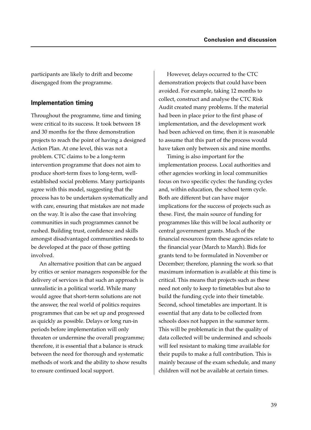participants are likely to drift and become disengaged from the programme.

## **Implementation timing**

Throughout the programme, time and timing were critical to its success. It took between 18 and 30 months for the three demonstration projects to reach the point of having a designed Action Plan. At one level, this was not a problem. CTC claims to be a long-term intervention programme that does not aim to produce short-term fixes to long-term, wellestablished social problems. Many participants agree with this model, suggesting that the process has to be undertaken systematically and with care, ensuring that mistakes are not made on the way. It is also the case that involving communities in such programmes cannot be rushed. Building trust, confidence and skills amongst disadvantaged communities needs to be developed at the pace of those getting involved.

An alternative position that can be argued by critics or senior managers responsible for the delivery of services is that such an approach is unrealistic in a political world. While many would agree that short-term solutions are not the answer, the real world of politics requires programmes that can be set up and progressed as quickly as possible. Delays or long run-in periods before implementation will only threaten or undermine the overall programme; therefore, it is essential that a balance is struck between the need for thorough and systematic methods of work and the ability to show results to ensure continued local support.

However, delays occurred to the CTC demonstration projects that could have been avoided. For example, taking 12 months to collect, construct and analyse the CTC Risk Audit created many problems. If the material had been in place prior to the first phase of implementation, and the development work had been achieved on time, then it is reasonable to assume that this part of the process would have taken only between six and nine months.

Timing is also important for the implementation process. Local authorities and other agencies working in local communities focus on two specific cycles: the funding cycles and, within education, the school term cycle. Both are different but can have major implications for the success of projects such as these. First, the main source of funding for programmes like this will be local authority or central government grants. Much of the financial resources from these agencies relate to the financial year (March to March). Bids for grants tend to be formulated in November or December; therefore, planning the work so that maximum information is available at this time is critical. This means that projects such as these need not only to keep to timetables but also to build the funding cycle into their timetable. Second, school timetables are important. It is essential that any data to be collected from schools does not happen in the summer term. This will be problematic in that the quality of data collected will be undermined and schools will feel resistant to making time available for their pupils to make a full contribution. This is mainly because of the exam schedule, and many children will not be available at certain times.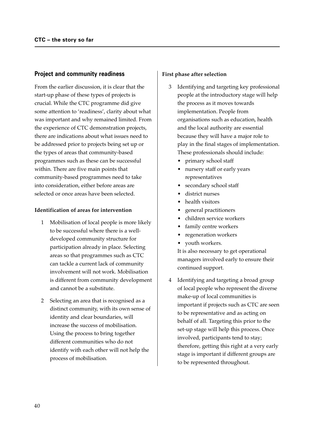#### **Project and community readiness**

From the earlier discussion, it is clear that the start-up phase of these types of projects is crucial. While the CTC programme did give some attention to 'readiness', clarity about what was important and why remained limited. From the experience of CTC demonstration projects, there are indications about what issues need to be addressed prior to projects being set up or the types of areas that community-based programmes such as these can be successful within. There are five main points that community-based programmes need to take into consideration, either before areas are selected or once areas have been selected.

#### **Identification of areas for intervention**

- 1 Mobilisation of local people is more likely to be successful where there is a welldeveloped community structure for participation already in place. Selecting areas so that programmes such as CTC can tackle a current lack of community involvement will not work. Mobilisation is different from community development and cannot be a substitute.
- 2 Selecting an area that is recognised as a distinct community, with its own sense of identity and clear boundaries, will increase the success of mobilisation. Using the process to bring together different communities who do not identify with each other will not help the process of mobilisation.

#### **First phase after selection**

- 3 Identifying and targeting key professional people at the introductory stage will help the process as it moves towards implementation. People from organisations such as education, health and the local authority are essential because they will have a major role to play in the final stages of implementation. These professionals should include:
	- primary school staff
	- nursery staff or early years representatives
	- secondary school staff
	- district nurses
	- health visitors
	- general practitioners
	- children service workers
	- family centre workers
	- regeneration workers
	- youth workers.

It is also necessary to get operational managers involved early to ensure their continued support.

4 Identifying and targeting a broad group of local people who represent the diverse make-up of local communities is important if projects such as CTC are seen to be representative and as acting on behalf of all. Targeting this prior to the set-up stage will help this process. Once involved, participants tend to stay; therefore, getting this right at a very early stage is important if different groups are to be represented throughout.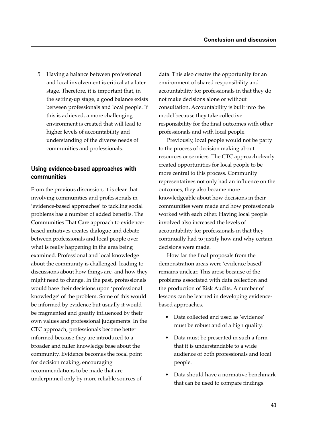5 Having a balance between professional and local involvement is critical at a later stage. Therefore, it is important that, in the setting-up stage, a good balance exists between professionals and local people. If this is achieved, a more challenging environment is created that will lead to higher levels of accountability and understanding of the diverse needs of communities and professionals.

## **Using evidence-based approaches with communities**

From the previous discussion, it is clear that involving communities and professionals in 'evidence-based approaches' to tackling social problems has a number of added benefits. The Communities That Care approach to evidencebased initiatives creates dialogue and debate between professionals and local people over what is really happening in the area being examined. Professional and local knowledge about the community is challenged, leading to discussions about how things are, and how they might need to change. In the past, professionals would base their decisions upon 'professional knowledge' of the problem. Some of this would be informed by evidence but usually it would be fragmented and greatly influenced by their own values and professional judgements. In the CTC approach, professionals become better informed because they are introduced to a broader and fuller knowledge base about the community. Evidence becomes the focal point for decision making, encouraging recommendations to be made that are underpinned only by more reliable sources of

data. This also creates the opportunity for an environment of shared responsibility and accountability for professionals in that they do not make decisions alone or without consultation. Accountability is built into the model because they take collective responsibility for the final outcomes with other professionals and with local people.

Previously, local people would not be party to the process of decision making about resources or services. The CTC approach clearly created opportunities for local people to be more central to this process. Community representatives not only had an influence on the outcomes, they also became more knowledgeable about how decisions in their communities were made and how professionals worked with each other. Having local people involved also increased the levels of accountability for professionals in that they continually had to justify how and why certain decisions were made.

How far the final proposals from the demonstration areas were 'evidence based' remains unclear. This arose because of the problems associated with data collection and the production of Risk Audits. A number of lessons can be learned in developing evidencebased approaches.

- Data collected and used as 'evidence' must be robust and of a high quality.
- Data must be presented in such a form that it is understandable to a wide audience of both professionals and local people.
- Data should have a normative benchmark that can be used to compare findings.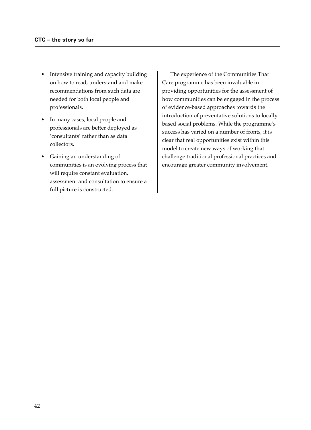- Intensive training and capacity building on how to read, understand and make recommendations from such data are needed for both local people and professionals.
- In many cases, local people and professionals are better deployed as 'consultants' rather than as data collectors.
- Gaining an understanding of communities is an evolving process that will require constant evaluation, assessment and consultation to ensure a full picture is constructed.

The experience of the Communities That Care programme has been invaluable in providing opportunities for the assessment of how communities can be engaged in the process of evidence-based approaches towards the introduction of preventative solutions to locally based social problems. While the programme's success has varied on a number of fronts, it is clear that real opportunities exist within this model to create new ways of working that challenge traditional professional practices and encourage greater community involvement.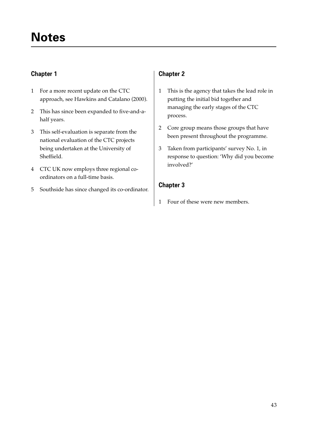## **Chapter 1**

- 1 For a more recent update on the CTC approach, see Hawkins and Catalano (2000).
- 2 This has since been expanded to five-and-ahalf years.
- 3 This self-evaluation is separate from the national evaluation of the CTC projects being undertaken at the University of Sheffield.
- 4 CTC UK now employs three regional coordinators on a full-time basis.
- 5 Southside has since changed its co-ordinator.

## **Chapter 2**

- 1 This is the agency that takes the lead role in putting the initial bid together and managing the early stages of the CTC process.
- 2 Core group means those groups that have been present throughout the programme.
- 3 Taken from participants' survey No. 1, in response to question: 'Why did you become involved?'

## **Chapter 3**

1 Four of these were new members.